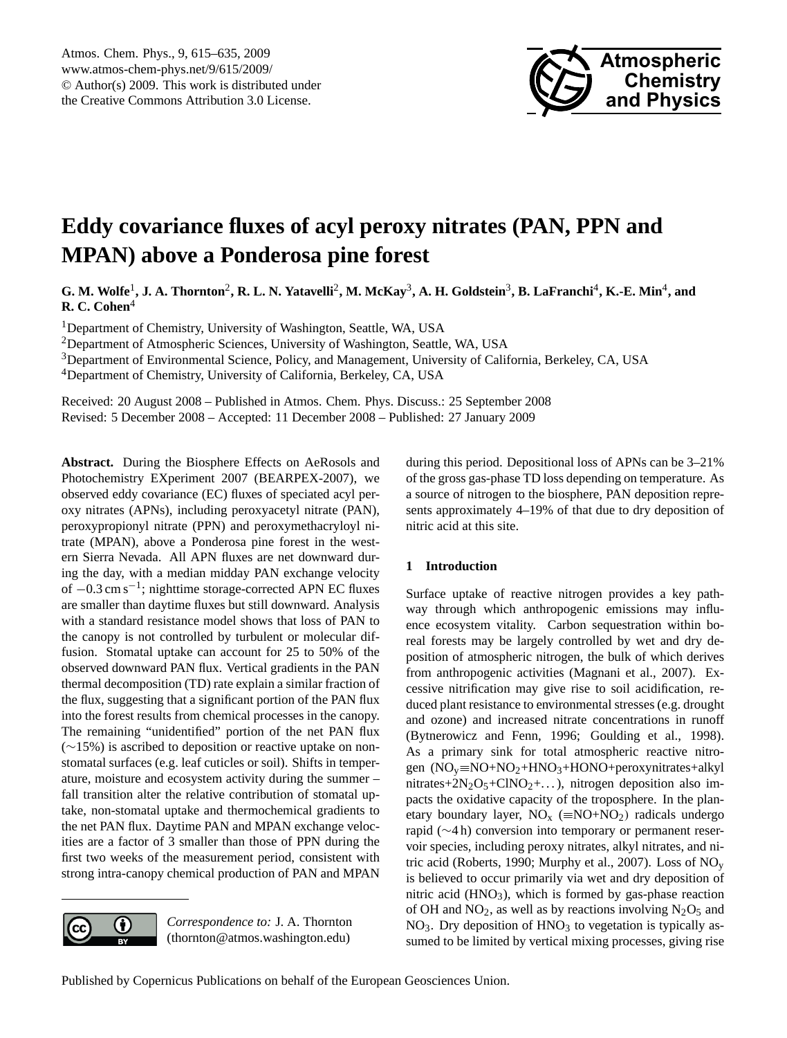

# <span id="page-0-0"></span>**Eddy covariance fluxes of acyl peroxy nitrates (PAN, PPN and MPAN) above a Ponderosa pine forest**

 $G$ . M. Wolfe<sup>1</sup>, J. A. Thornton<sup>2</sup>, R. L. N. Yatavelli<sup>2</sup>, M. McKay<sup>3</sup>, A. H. Goldstein<sup>3</sup>, B. LaFranchi<sup>4</sup>, K.-E. Min<sup>4</sup>, and **R. C. Cohen**<sup>4</sup>

<sup>1</sup>Department of Chemistry, University of Washington, Seattle, WA, USA

<sup>2</sup>Department of Atmospheric Sciences, University of Washington, Seattle, WA, USA

<sup>3</sup>Department of Environmental Science, Policy, and Management, University of California, Berkeley, CA, USA

<sup>4</sup>Department of Chemistry, University of California, Berkeley, CA, USA

Received: 20 August 2008 – Published in Atmos. Chem. Phys. Discuss.: 25 September 2008 Revised: 5 December 2008 – Accepted: 11 December 2008 – Published: 27 January 2009

**Abstract.** During the Biosphere Effects on AeRosols and Photochemistry EXperiment 2007 (BEARPEX-2007), we observed eddy covariance (EC) fluxes of speciated acyl peroxy nitrates (APNs), including peroxyacetyl nitrate (PAN), peroxypropionyl nitrate (PPN) and peroxymethacryloyl nitrate (MPAN), above a Ponderosa pine forest in the western Sierra Nevada. All APN fluxes are net downward during the day, with a median midday PAN exchange velocity of −0.3 cm s−<sup>1</sup> ; nighttime storage-corrected APN EC fluxes are smaller than daytime fluxes but still downward. Analysis with a standard resistance model shows that loss of PAN to the canopy is not controlled by turbulent or molecular diffusion. Stomatal uptake can account for 25 to 50% of the observed downward PAN flux. Vertical gradients in the PAN thermal decomposition (TD) rate explain a similar fraction of the flux, suggesting that a significant portion of the PAN flux into the forest results from chemical processes in the canopy. The remaining "unidentified" portion of the net PAN flux (∼15%) is ascribed to deposition or reactive uptake on nonstomatal surfaces (e.g. leaf cuticles or soil). Shifts in temperature, moisture and ecosystem activity during the summer – fall transition alter the relative contribution of stomatal uptake, non-stomatal uptake and thermochemical gradients to the net PAN flux. Daytime PAN and MPAN exchange velocities are a factor of 3 smaller than those of PPN during the first two weeks of the measurement period, consistent with strong intra-canopy chemical production of PAN and MPAN



*Correspondence to:* J. A. Thornton (thornton@atmos.washington.edu)

during this period. Depositional loss of APNs can be 3–21% of the gross gas-phase TD loss depending on temperature. As a source of nitrogen to the biosphere, PAN deposition represents approximately 4–19% of that due to dry deposition of nitric acid at this site.

# **1 Introduction**

Surface uptake of reactive nitrogen provides a key pathway through which anthropogenic emissions may influence ecosystem vitality. Carbon sequestration within boreal forests may be largely controlled by wet and dry deposition of atmospheric nitrogen, the bulk of which derives from anthropogenic activities (Magnani et al., 2007). Excessive nitrification may give rise to soil acidification, reduced plant resistance to environmental stresses (e.g. drought and ozone) and increased nitrate concentrations in runoff (Bytnerowicz and Fenn, 1996; Goulding et al., 1998). As a primary sink for total atmospheric reactive nitrogen  $(NO<sub>v</sub>=NO+NO<sub>2</sub>+HNO<sub>3</sub>+HONO+peroxynitrates+alkyl)$ nitrates+ $2N_2O_5 + CINO_2 + ...$ , nitrogen deposition also impacts the oxidative capacity of the troposphere. In the planetary boundary layer,  $NO_x$  ( $\equiv NO+NO_2$ ) radicals undergo rapid (∼4 h) conversion into temporary or permanent reservoir species, including peroxy nitrates, alkyl nitrates, and nitric acid (Roberts, 1990; Murphy et al., 2007). Loss of  $NO<sub>v</sub>$ is believed to occur primarily via wet and dry deposition of nitric acid  $(HNO<sub>3</sub>)$ , which is formed by gas-phase reaction of OH and NO<sub>2</sub>, as well as by reactions involving  $N_2O_5$  and  $NO<sub>3</sub>$ . Dry deposition of  $HNO<sub>3</sub>$  to vegetation is typically assumed to be limited by vertical mixing processes, giving rise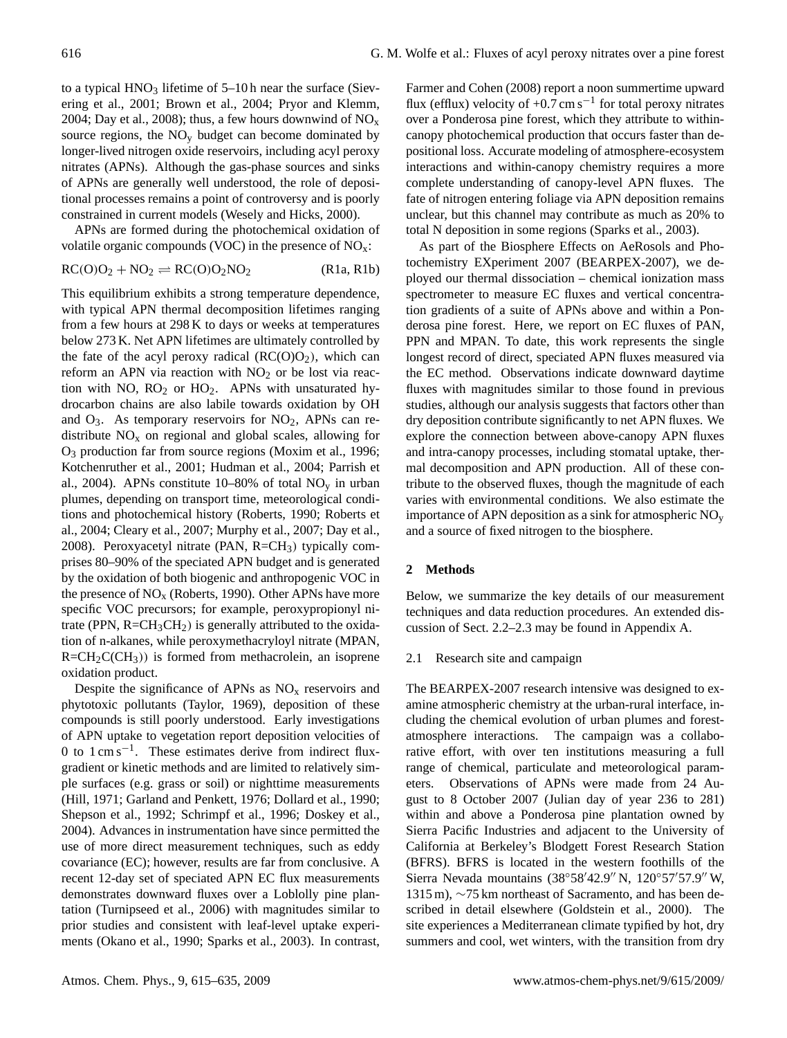to a typical  $HNO<sub>3</sub>$  lifetime of 5–10 h near the surface (Sievering et al., 2001; Brown et al., 2004; Pryor and Klemm, 2004; Day et al., 2008); thus, a few hours downwind of  $NO_x$ source regions, the  $NO<sub>v</sub>$  budget can become dominated by longer-lived nitrogen oxide reservoirs, including acyl peroxy nitrates (APNs). Although the gas-phase sources and sinks of APNs are generally well understood, the role of depositional processes remains a point of controversy and is poorly constrained in current models (Wesely and Hicks, 2000).

APNs are formed during the photochemical oxidation of volatile organic compounds (VOC) in the presence of  $NO<sub>x</sub>$ :

$$
RC(O)O2 + NO2 \rightleftharpoons RC(O)O2NO2
$$
 (R1a, R1b)

This equilibrium exhibits a strong temperature dependence, with typical APN thermal decomposition lifetimes ranging from a few hours at 298 K to days or weeks at temperatures below 273 K. Net APN lifetimes are ultimately controlled by the fate of the acyl peroxy radical  $(RC(O)O<sub>2</sub>)$ , which can reform an APN via reaction with  $NO<sub>2</sub>$  or be lost via reaction with NO,  $RO<sub>2</sub>$  or  $HO<sub>2</sub>$ . APNs with unsaturated hydrocarbon chains are also labile towards oxidation by OH and  $O_3$ . As temporary reservoirs for  $NO_2$ , APNs can redistribute  $NO<sub>x</sub>$  on regional and global scales, allowing for O<sup>3</sup> production far from source regions (Moxim et al., 1996; Kotchenruther et al., 2001; Hudman et al., 2004; Parrish et al., 2004). APNs constitute  $10-80\%$  of total NO<sub>y</sub> in urban plumes, depending on transport time, meteorological conditions and photochemical history (Roberts, 1990; Roberts et al., 2004; Cleary et al., 2007; Murphy et al., 2007; Day et al., 2008). Peroxyacetyl nitrate (PAN,  $R=CH_3$ ) typically comprises 80–90% of the speciated APN budget and is generated by the oxidation of both biogenic and anthropogenic VOC in the presence of  $NO<sub>x</sub>$  (Roberts, 1990). Other APNs have more specific VOC precursors; for example, peroxypropionyl nitrate (PPN,  $R = CH_3CH_2$ ) is generally attributed to the oxidation of n-alkanes, while peroxymethacryloyl nitrate (MPAN,  $R=CH_2C(CH_3)$ ) is formed from methacrolein, an isoprene oxidation product.

Despite the significance of APNs as  $NO<sub>x</sub>$  reservoirs and phytotoxic pollutants (Taylor, 1969), deposition of these compounds is still poorly understood. Early investigations of APN uptake to vegetation report deposition velocities of 0 to 1 cm s−<sup>1</sup> . These estimates derive from indirect fluxgradient or kinetic methods and are limited to relatively simple surfaces (e.g. grass or soil) or nighttime measurements (Hill, 1971; Garland and Penkett, 1976; Dollard et al., 1990; Shepson et al., 1992; Schrimpf et al., 1996; Doskey et al., 2004). Advances in instrumentation have since permitted the use of more direct measurement techniques, such as eddy covariance (EC); however, results are far from conclusive. A recent 12-day set of speciated APN EC flux measurements demonstrates downward fluxes over a Loblolly pine plantation (Turnipseed et al., 2006) with magnitudes similar to prior studies and consistent with leaf-level uptake experiments (Okano et al., 1990; Sparks et al., 2003). In contrast, Farmer and Cohen (2008) report a noon summertime upward flux (efflux) velocity of  $+0.7 \text{ cm s}^{-1}$  for total peroxy nitrates over a Ponderosa pine forest, which they attribute to withincanopy photochemical production that occurs faster than depositional loss. Accurate modeling of atmosphere-ecosystem interactions and within-canopy chemistry requires a more complete understanding of canopy-level APN fluxes. The fate of nitrogen entering foliage via APN deposition remains unclear, but this channel may contribute as much as 20% to total N deposition in some regions (Sparks et al., 2003).

As part of the Biosphere Effects on AeRosols and Photochemistry EXperiment 2007 (BEARPEX-2007), we deployed our thermal dissociation – chemical ionization mass spectrometer to measure EC fluxes and vertical concentration gradients of a suite of APNs above and within a Ponderosa pine forest. Here, we report on EC fluxes of PAN, PPN and MPAN. To date, this work represents the single longest record of direct, speciated APN fluxes measured via the EC method. Observations indicate downward daytime fluxes with magnitudes similar to those found in previous studies, although our analysis suggests that factors other than dry deposition contribute significantly to net APN fluxes. We explore the connection between above-canopy APN fluxes and intra-canopy processes, including stomatal uptake, thermal decomposition and APN production. All of these contribute to the observed fluxes, though the magnitude of each varies with environmental conditions. We also estimate the importance of APN deposition as a sink for atmospheric  $NO<sub>v</sub>$ and a source of fixed nitrogen to the biosphere.

# **2 Methods**

Below, we summarize the key details of our measurement techniques and data reduction procedures. An extended discussion of Sect. 2.2–2.3 may be found in Appendix A.

# 2.1 Research site and campaign

The BEARPEX-2007 research intensive was designed to examine atmospheric chemistry at the urban-rural interface, including the chemical evolution of urban plumes and forestatmosphere interactions. The campaign was a collaborative effort, with over ten institutions measuring a full range of chemical, particulate and meteorological parameters. Observations of APNs were made from 24 August to 8 October 2007 (Julian day of year 236 to 281) within and above a Ponderosa pine plantation owned by Sierra Pacific Industries and adjacent to the University of California at Berkeley's Blodgett Forest Research Station (BFRS). BFRS is located in the western foothills of the Sierra Nevada mountains (38°58'42.9" N, 120°57'57.9" W, 1315 m), ∼75 km northeast of Sacramento, and has been described in detail elsewhere (Goldstein et al., 2000). The site experiences a Mediterranean climate typified by hot, dry summers and cool, wet winters, with the transition from dry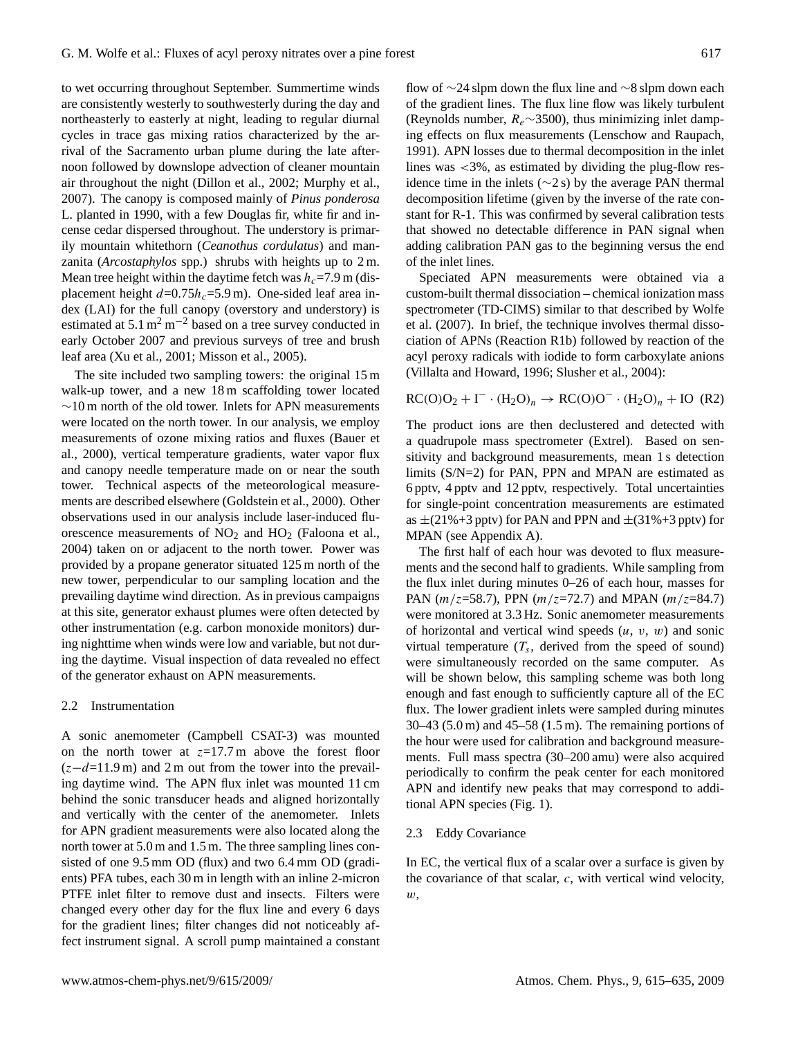to wet occurring throughout September. Summertime winds are consistently westerly to southwesterly during the day and northeasterly to easterly at night, leading to regular diurnal cycles in trace gas mixing ratios characterized by the arrival of the Sacramento urban plume during the late afternoon followed by downslope advection of cleaner mountain air throughout the night (Dillon et al., 2002; Murphy et al., 2007). The canopy is composed mainly of *Pinus ponderosa* L. planted in 1990, with a few Douglas fir, white fir and incense cedar dispersed throughout. The understory is primarily mountain whitethorn (*Ceanothus cordulatus*) and manzanita (*Arcostaphylos* spp.) shrubs with heights up to 2 m. Mean tree height within the daytime fetch was  $h_c$ =7.9 m (displacement height  $d=0.75h<sub>c</sub>=5.9$  m). One-sided leaf area index (LAI) for the full canopy (overstory and understory) is estimated at  $5.1 \text{ m}^2 \text{ m}^{-2}$  based on a tree survey conducted in early October 2007 and previous surveys of tree and brush leaf area (Xu et al., 2001; Misson et al., 2005).

The site included two sampling towers: the original 15 m walk-up tower, and a new 18 m scaffolding tower located ∼10 m north of the old tower. Inlets for APN measurements were located on the north tower. In our analysis, we employ measurements of ozone mixing ratios and fluxes (Bauer et al., 2000), vertical temperature gradients, water vapor flux and canopy needle temperature made on or near the south tower. Technical aspects of the meteorological measurements are described elsewhere (Goldstein et al., 2000). Other observations used in our analysis include laser-induced fluorescence measurements of  $NO<sub>2</sub>$  and  $HO<sub>2</sub>$  (Faloona et al., 2004) taken on or adjacent to the north tower. Power was provided by a propane generator situated 125 m north of the new tower, perpendicular to our sampling location and the prevailing daytime wind direction. As in previous campaigns at this site, generator exhaust plumes were often detected by other instrumentation (e.g. carbon monoxide monitors) during nighttime when winds were low and variable, but not during the daytime. Visual inspection of data revealed no effect of the generator exhaust on APN measurements.

## 2.2 Instrumentation

A sonic anemometer (Campbell CSAT-3) was mounted on the north tower at  $z=17.7$  m above the forest floor  $(z-d=11.9 \text{ m})$  and 2 m out from the tower into the prevailing daytime wind. The APN flux inlet was mounted 11 cm behind the sonic transducer heads and aligned horizontally and vertically with the center of the anemometer. Inlets for APN gradient measurements were also located along the north tower at 5.0 m and 1.5 m. The three sampling lines consisted of one 9.5 mm OD (flux) and two 6.4 mm OD (gradients) PFA tubes, each 30 m in length with an inline 2-micron PTFE inlet filter to remove dust and insects. Filters were changed every other day for the flux line and every 6 days for the gradient lines; filter changes did not noticeably affect instrument signal. A scroll pump maintained a constant

flow of ∼24 slpm down the flux line and ∼8 slpm down each of the gradient lines. The flux line flow was likely turbulent (Reynolds number,  $R_e \sim 3500$ ), thus minimizing inlet damping effects on flux measurements (Lenschow and Raupach, 1991). APN losses due to thermal decomposition in the inlet lines was <3%, as estimated by dividing the plug-flow residence time in the inlets (∼2 s) by the average PAN thermal decomposition lifetime (given by the inverse of the rate constant for R-1. This was confirmed by several calibration tests that showed no detectable difference in PAN signal when adding calibration PAN gas to the beginning versus the end of the inlet lines.

Speciated APN measurements were obtained via a custom-built thermal dissociation – chemical ionization mass spectrometer (TD-CIMS) similar to that described by Wolfe et al. (2007). In brief, the technique involves thermal dissociation of APNs (Reaction R1b) followed by reaction of the acyl peroxy radicals with iodide to form carboxylate anions (Villalta and Howard, 1996; Slusher et al., 2004):

$$
RC(O)O_2 + I^- \cdot (H_2O)_n \to RC(O)O^- \cdot (H_2O)_n + IO (R2)
$$

The product ions are then declustered and detected with a quadrupole mass spectrometer (Extrel). Based on sensitivity and background measurements, mean 1 s detection limits (S/N=2) for PAN, PPN and MPAN are estimated as 6 pptv, 4 pptv and 12 pptv, respectively. Total uncertainties for single-point concentration measurements are estimated as  $\pm$ (21%+3 pptv) for PAN and PPN and  $\pm$ (31%+3 pptv) for MPAN (see Appendix A).

The first half of each hour was devoted to flux measurements and the second half to gradients. While sampling from the flux inlet during minutes 0–26 of each hour, masses for PAN ( $m/z$ =58.7), PPN ( $m/z$ =72.7) and MPAN ( $m/z$ =84.7) were monitored at 3.3 Hz. Sonic anemometer measurements of horizontal and vertical wind speeds  $(u, v, w)$  and sonic virtual temperature  $(T_s$ , derived from the speed of sound) were simultaneously recorded on the same computer. As will be shown below, this sampling scheme was both long enough and fast enough to sufficiently capture all of the EC flux. The lower gradient inlets were sampled during minutes 30–43 (5.0 m) and 45–58 (1.5 m). The remaining portions of the hour were used for calibration and background measurements. Full mass spectra (30–200 amu) were also acquired periodically to confirm the peak center for each monitored APN and identify new peaks that may correspond to additional APN species (Fig. 1).

# 2.3 Eddy Covariance

In EC, the vertical flux of a scalar over a surface is given by the covariance of that scalar, c, with vertical wind velocity,  $w,$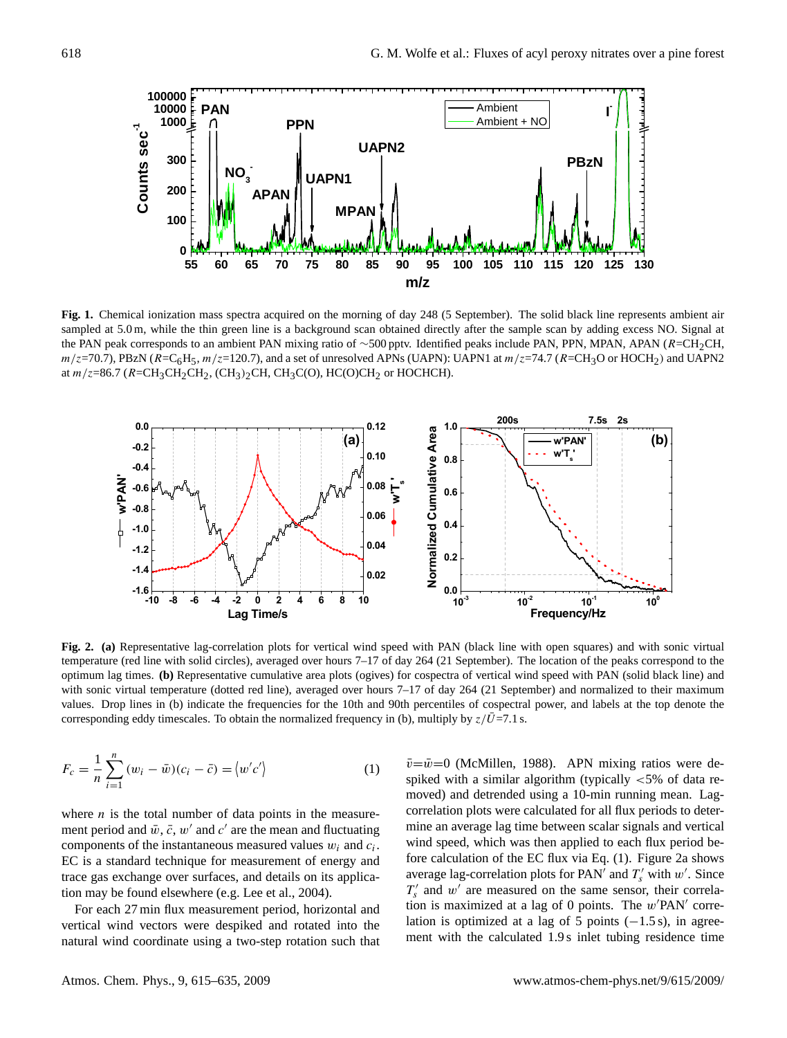

**Fig. 1.** Chemical ionization mass spectra acquired on the morning of day 248 (5 September). The solid black line represents ambient air sampled at 5.0 m, while the thin green line is a background scan obtained directly after the sample scan by adding excess NO. Signal at the PAN peak corresponds to an ambient PAN mixing ratio of ∼500 pptv. Identified peaks include PAN, PPN, MPAN, APAN (R=CH<sub>2</sub>CH,  $m/z$ =70.7), PBzN ( $R$ =C<sub>6</sub>H<sub>5</sub>,  $m/z$ =120.7), and a set of unresolved APNs (UAPN): UAPN1 at  $m/z$ =74.7 ( $R$ =CH<sub>3</sub>O or HOCH<sub>2</sub>) and UAPN2 at  $m/z = 86.7$  ( $R = CH_3CH_2CH_2$ , (CH<sub>3</sub>)<sub>2</sub>CH, CH<sub>3</sub>C(O), HC(O)CH<sub>2</sub> or HOCHCH).



**Fig. 2. (a)** Representative lag-correlation plots for vertical wind speed with PAN (black line with open squares) and with sonic virtual temperature (red line with solid circles), averaged over hours 7–17 of day 264 (21 September). The location of the peaks correspond to the optimum lag times. **(b)** Representative cumulative area plots (ogives) for cospectra of vertical wind speed with PAN (solid black line) and with sonic virtual temperature (dotted red line), averaged over hours 7–17 of day 264 (21 September) and normalized to their maximum values. Drop lines in (b) indicate the frequencies for the 10th and 90th percentiles of cospectral power, and labels at the top denote the corresponding eddy timescales. To obtain the normalized frequency in (b), multiply by  $z/\overline{U}$  =7.1 s.

$$
F_c = \frac{1}{n} \sum_{i=1}^{n} (w_i - \bar{w})(c_i - \bar{c}) = \langle w'c' \rangle
$$
 (1)

where  $n$  is the total number of data points in the measurement period and  $\bar{w}$ ,  $\bar{c}$ ,  $w'$  and  $c'$  are the mean and fluctuating components of the instantaneous measured values  $w_i$  and  $c_i$ . EC is a standard technique for measurement of energy and trace gas exchange over surfaces, and details on its application may be found elsewhere (e.g. Lee et al., 2004).

For each 27 min flux measurement period, horizontal and vertical wind vectors were despiked and rotated into the natural wind coordinate using a two-step rotation such that

 $\bar{v} = \bar{w} = 0$  (McMillen, 1988). APN mixing ratios were despiked with a similar algorithm (typically <5% of data removed) and detrended using a 10-min running mean. Lagcorrelation plots were calculated for all flux periods to determine an average lag time between scalar signals and vertical wind speed, which was then applied to each flux period before calculation of the EC flux via Eq. (1). Figure 2a shows average lag-correlation plots for PAN<sup>'</sup> and  $T'_{s}$  with w'. Since  $T'_{s}$  and  $w'$  are measured on the same sensor, their correlation is maximized at a lag of 0 points. The  $w'PAN'$  correlation is optimized at a lag of 5 points  $(-1.5 s)$ , in agreement with the calculated 1.9 s inlet tubing residence time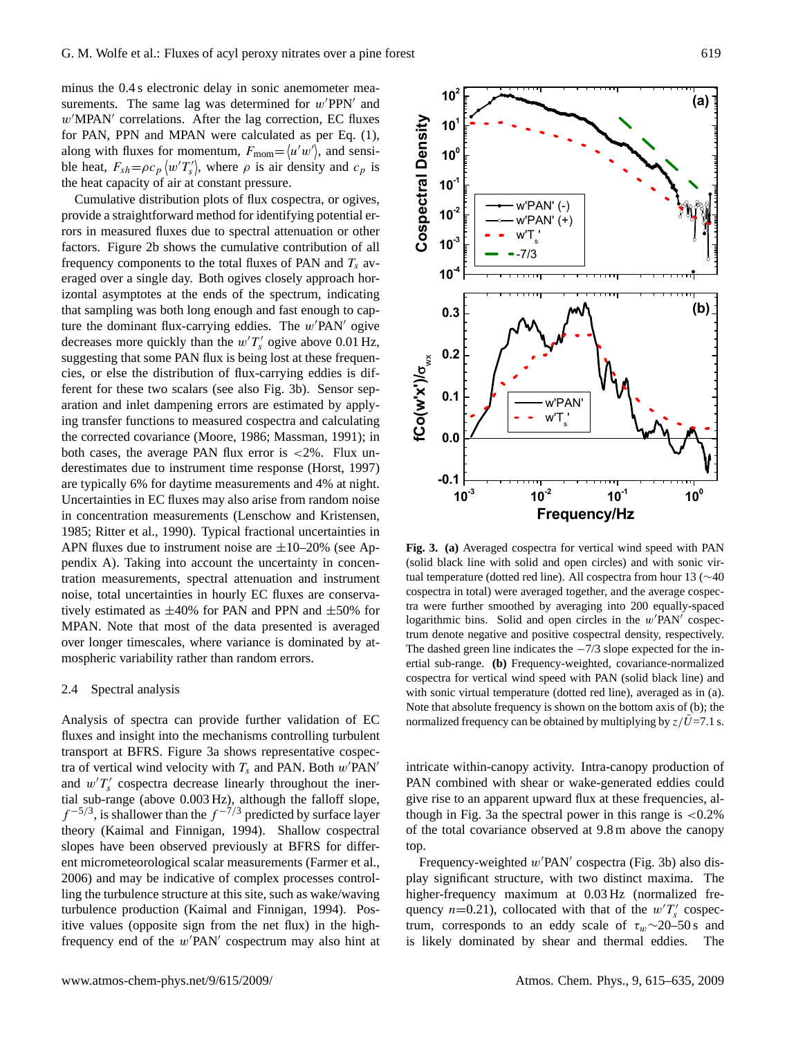minus the 0.4 s electronic delay in sonic anemometer measurements. The same lag was determined for  $w'PPN'$  and  $w'MPAN'$  correlations. After the lag correction, EC fluxes for PAN, PPN and MPAN were calculated as per Eq. (1), along with fluxes for momentum,  $F_{\text{mom}} = \langle u'w' \rangle$ , and sensible heat,  $F_{sh} = \rho c_p \langle w' T'_s \rangle$ , where  $\rho$  is air density and  $c_p$  is the heat capacity of air at constant pressure.

Cumulative distribution plots of flux cospectra, or ogives, provide a straightforward method for identifying potential errors in measured fluxes due to spectral attenuation or other factors. Figure 2b shows the cumulative contribution of all frequency components to the total fluxes of PAN and  $T_s$  averaged over a single day. Both ogives closely approach horizontal asymptotes at the ends of the spectrum, indicating that sampling was both long enough and fast enough to capture the dominant flux-carrying eddies. The  $w'PAN'$  ogive decreases more quickly than the  $w'T'_{s}$  ogive above 0.01 Hz, suggesting that some PAN flux is being lost at these frequencies, or else the distribution of flux-carrying eddies is different for these two scalars (see also Fig. 3b). Sensor separation and inlet dampening errors are estimated by applying transfer functions to measured cospectra and calculating the corrected covariance (Moore, 1986; Massman, 1991); in both cases, the average PAN flux error is <2%. Flux underestimates due to instrument time response (Horst, 1997) are typically 6% for daytime measurements and 4% at night. Uncertainties in EC fluxes may also arise from random noise in concentration measurements (Lenschow and Kristensen, 1985; Ritter et al., 1990). Typical fractional uncertainties in APN fluxes due to instrument noise are  $\pm 10-20\%$  (see Appendix A). Taking into account the uncertainty in concentration measurements, spectral attenuation and instrument noise, total uncertainties in hourly EC fluxes are conservatively estimated as  $\pm 40\%$  for PAN and PPN and  $\pm 50\%$  for MPAN. Note that most of the data presented is averaged over longer timescales, where variance is dominated by atmospheric variability rather than random errors.

# 2.4 Spectral analysis

Analysis of spectra can provide further validation of EC fluxes and insight into the mechanisms controlling turbulent transport at BFRS. Figure 3a shows representative cospectra of vertical wind velocity with  $T_s$  and PAN. Both  $w'PAN'$ and  $w'T'_{s}$  cospectra decrease linearly throughout the inertial sub-range (above 0.003 Hz), although the falloff slope,  $f^{-5/3}$ , is shallower than the  $f^{-7/3}$  predicted by surface layer theory (Kaimal and Finnigan, 1994). Shallow cospectral slopes have been observed previously at BFRS for different micrometeorological scalar measurements (Farmer et al., 2006) and may be indicative of complex processes controlling the turbulence structure at this site, such as wake/waving turbulence production (Kaimal and Finnigan, 1994). Positive values (opposite sign from the net flux) in the highfrequency end of the  $w'PAN'$  cospectrum may also hint at



**Fig. 3. (a)** Averaged cospectra for vertical wind speed with PAN (solid black line with solid and open circles) and with sonic virtual temperature (dotted red line). All cospectra from hour 13 (∼40 cospectra in total) were averaged together, and the average cospectra were further smoothed by averaging into 200 equally-spaced logarithmic bins. Solid and open circles in the  $w'PAN'$  cospectrum denote negative and positive cospectral density, respectively. The dashed green line indicates the −7/3 slope expected for the inertial sub-range. **(b)** Frequency-weighted, covariance-normalized cospectra for vertical wind speed with PAN (solid black line) and with sonic virtual temperature (dotted red line), averaged as in (a). Note that absolute frequency is shown on the bottom axis of (b); the normalized frequency can be obtained by multiplying by  $z/\overline{U}$  =7.1 s.

intricate within-canopy activity. Intra-canopy production of PAN combined with shear or wake-generated eddies could give rise to an apparent upward flux at these frequencies, although in Fig. 3a the spectral power in this range is  $< 0.2\%$ of the total covariance observed at 9.8 m above the canopy top.

Frequency-weighted  $w'PAN'$  cospectra (Fig. 3b) also display significant structure, with two distinct maxima. The higher-frequency maximum at 0.03 Hz (normalized frequency  $n=0.21$ ), collocated with that of the  $w'T'_{s}$  cospectrum, corresponds to an eddy scale of  $\tau_w \sim 20$ –50 s and is likely dominated by shear and thermal eddies. The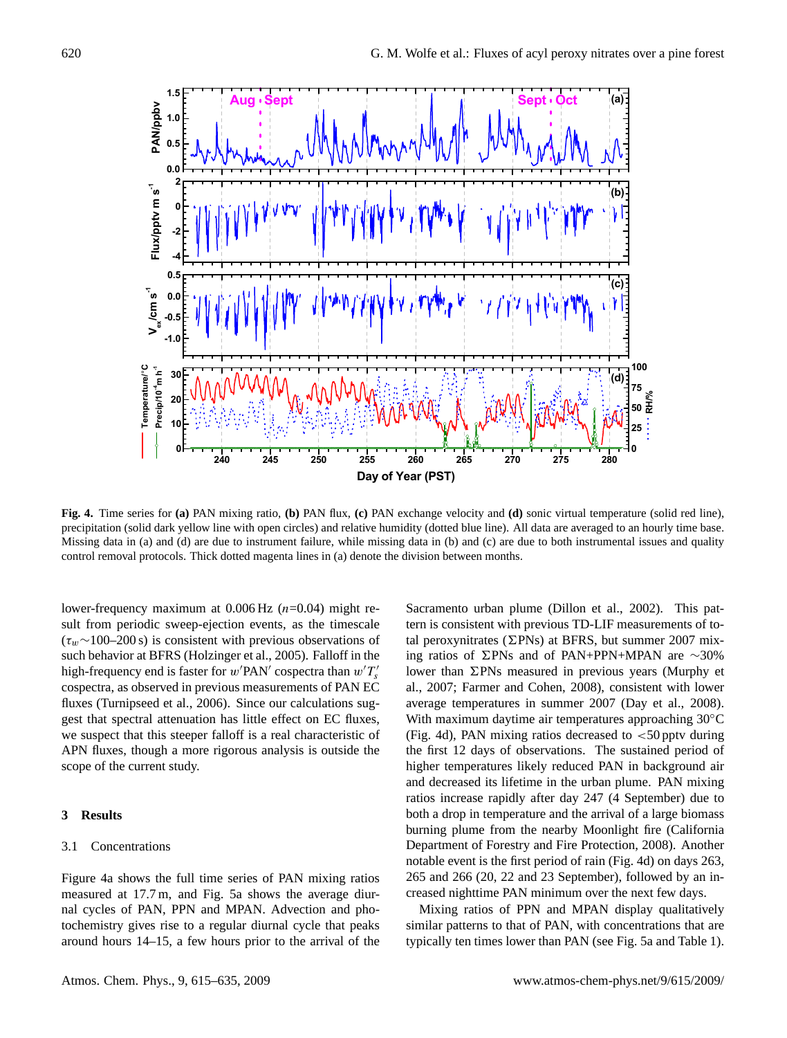

**Fig. 4.** Time series for **(a)** PAN mixing ratio, **(b)** PAN flux, **(c)** PAN exchange velocity and **(d)** sonic virtual temperature (solid red line), precipitation (solid dark yellow line with open circles) and relative humidity (dotted blue line). All data are averaged to an hourly time base. Missing data in (a) and (d) are due to instrument failure, while missing data in (b) and (c) are due to both instrumental issues and quality control removal protocols. Thick dotted magenta lines in (a) denote the division between months.

lower-frequency maximum at  $0.006 \text{ Hz}$  (*n*=0.04) might result from periodic sweep-ejection events, as the timescale  $(\tau_w \sim 100-200 \text{ s})$  is consistent with previous observations of such behavior at BFRS (Holzinger et al., 2005). Falloff in the high-frequency end is faster for  $w'PAN'$  cospectra than  $w'T'_s$ cospectra, as observed in previous measurements of PAN EC fluxes (Turnipseed et al., 2006). Since our calculations suggest that spectral attenuation has little effect on EC fluxes, we suspect that this steeper falloff is a real characteristic of APN fluxes, though a more rigorous analysis is outside the scope of the current study.

# **3 Results**

# 3.1 Concentrations

Figure 4a shows the full time series of PAN mixing ratios measured at 17.7 m, and Fig. 5a shows the average diurnal cycles of PAN, PPN and MPAN. Advection and photochemistry gives rise to a regular diurnal cycle that peaks around hours 14–15, a few hours prior to the arrival of the Sacramento urban plume (Dillon et al., 2002). This pattern is consistent with previous TD-LIF measurements of total peroxynitrates ( $\Sigma$ PNs) at BFRS, but summer 2007 mixing ratios of ΣPNs and of PAN+PPN+MPAN are ∼30% lower than  $\Sigma$ PNs measured in previous years (Murphy et al., 2007; Farmer and Cohen, 2008), consistent with lower average temperatures in summer 2007 (Day et al., 2008). With maximum daytime air temperatures approaching 30◦C (Fig. 4d), PAN mixing ratios decreased to  $<$  50 pptv during the first 12 days of observations. The sustained period of higher temperatures likely reduced PAN in background air and decreased its lifetime in the urban plume. PAN mixing ratios increase rapidly after day 247 (4 September) due to both a drop in temperature and the arrival of a large biomass burning plume from the nearby Moonlight fire (California Department of Forestry and Fire Protection, 2008). Another notable event is the first period of rain (Fig. 4d) on days 263, 265 and 266 (20, 22 and 23 September), followed by an increased nighttime PAN minimum over the next few days.

Mixing ratios of PPN and MPAN display qualitatively similar patterns to that of PAN, with concentrations that are typically ten times lower than PAN (see Fig. 5a and Table 1).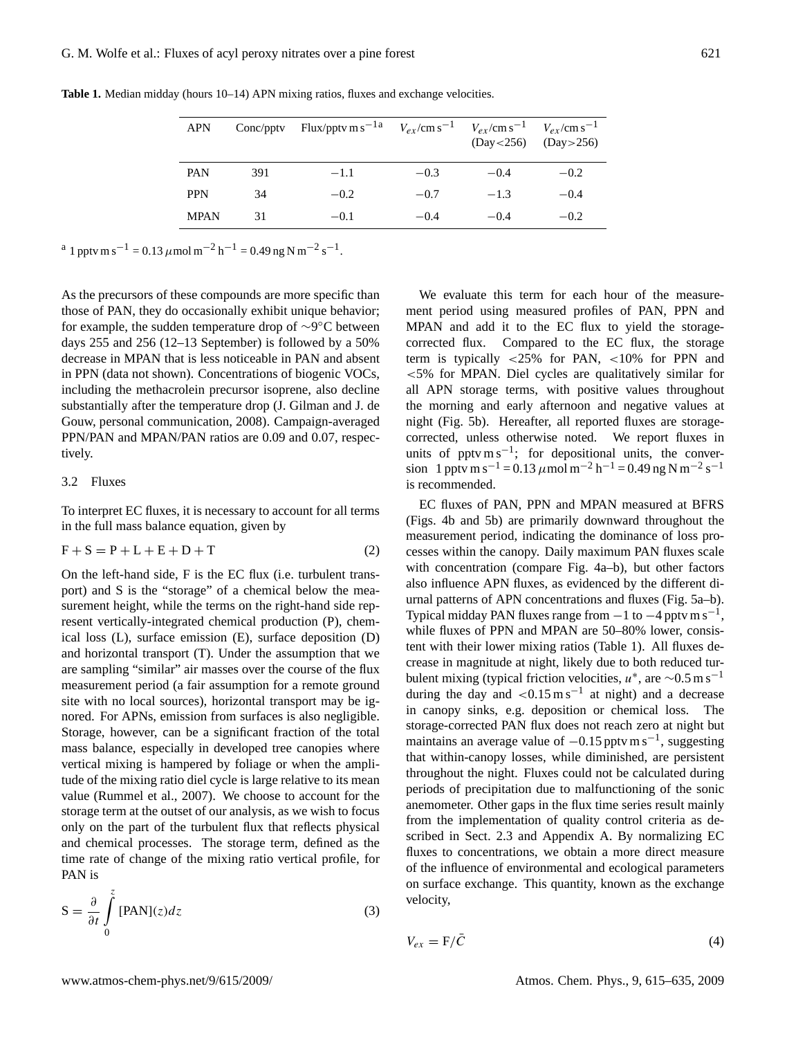| <b>APN</b>  | Conc <sub>/pptv</sub> | $Flux/pptv m s-1a$ |        | $V_{ex}/\text{cm s}^{-1}$ $V_{ex}/\text{cm s}^{-1}$ $V_{ex}/\text{cm s}^{-1}$<br>(Day < 256) | (Day > 256) |
|-------------|-----------------------|--------------------|--------|----------------------------------------------------------------------------------------------|-------------|
| PAN         | 391                   | $-1.1$             | $-0.3$ | $-0.4$                                                                                       | $-0.2$      |
| <b>PPN</b>  | 34                    | $-0.2$             | $-0.7$ | $-1.3$                                                                                       | $-0.4$      |
| <b>MPAN</b> | 31                    | $-0.1$             | $-0.4$ | $-0.4$                                                                                       | $-0.2$      |

**Table 1.** Median midday (hours 10–14) APN mixing ratios, fluxes and exchange velocities.

<sup>a</sup> 1 pptv m s<sup>-1</sup> = 0.13  $\mu$ mol m<sup>-2</sup> h<sup>-1</sup> = 0.49 ng N m<sup>-2</sup> s<sup>-1</sup>.

As the precursors of these compounds are more specific than those of PAN, they do occasionally exhibit unique behavior; for example, the sudden temperature drop of ∼9°C between days 255 and 256 (12–13 September) is followed by a 50% decrease in MPAN that is less noticeable in PAN and absent in PPN (data not shown). Concentrations of biogenic VOCs, including the methacrolein precursor isoprene, also decline substantially after the temperature drop (J. Gilman and J. de Gouw, personal communication, 2008). Campaign-averaged PPN/PAN and MPAN/PAN ratios are 0.09 and 0.07, respectively.

# 3.2 Fluxes

To interpret EC fluxes, it is necessary to account for all terms in the full mass balance equation, given by

$$
F + S = P + L + E + D + T \tag{2}
$$

On the left-hand side, F is the EC flux (i.e. turbulent transport) and S is the "storage" of a chemical below the measurement height, while the terms on the right-hand side represent vertically-integrated chemical production (P), chemical loss (L), surface emission (E), surface deposition (D) and horizontal transport (T). Under the assumption that we are sampling "similar" air masses over the course of the flux measurement period (a fair assumption for a remote ground site with no local sources), horizontal transport may be ignored. For APNs, emission from surfaces is also negligible. Storage, however, can be a significant fraction of the total mass balance, especially in developed tree canopies where vertical mixing is hampered by foliage or when the amplitude of the mixing ratio diel cycle is large relative to its mean value (Rummel et al., 2007). We choose to account for the storage term at the outset of our analysis, as we wish to focus only on the part of the turbulent flux that reflects physical and chemical processes. The storage term, defined as the time rate of change of the mixing ratio vertical profile, for PAN is

$$
S = \frac{\partial}{\partial t} \int_{0}^{z} [PAN](z) dz
$$
 (3)

We evaluate this term for each hour of the measurement period using measured profiles of PAN, PPN and MPAN and add it to the EC flux to yield the storagecorrected flux. Compared to the EC flux, the storage term is typically <25% for PAN, <10% for PPN and <5% for MPAN. Diel cycles are qualitatively similar for all APN storage terms, with positive values throughout the morning and early afternoon and negative values at night (Fig. 5b). Hereafter, all reported fluxes are storagecorrected, unless otherwise noted. We report fluxes in units of pptv  $ms^{-1}$ ; for depositional units, the conversion 1 pptv m s<sup>-1</sup> = 0.13  $\mu$ mol m<sup>-2</sup> h<sup>-1</sup> = 0.49 ng N m<sup>-2</sup> s<sup>-1</sup> is recommended.

EC fluxes of PAN, PPN and MPAN measured at BFRS (Figs. 4b and 5b) are primarily downward throughout the measurement period, indicating the dominance of loss processes within the canopy. Daily maximum PAN fluxes scale with concentration (compare Fig. 4a–b), but other factors also influence APN fluxes, as evidenced by the different diurnal patterns of APN concentrations and fluxes (Fig. 5a–b). Typical midday PAN fluxes range from  $-1$  to  $-4$  pptv m s<sup>-1</sup>, while fluxes of PPN and MPAN are 50–80% lower, consistent with their lower mixing ratios (Table 1). All fluxes decrease in magnitude at night, likely due to both reduced turbulent mixing (typical friction velocities,  $u^*$ , are ~0.5 m s<sup>-1</sup> during the day and  $\lt 0.15 \text{ m s}^{-1}$  at night) and a decrease in canopy sinks, e.g. deposition or chemical loss. The storage-corrected PAN flux does not reach zero at night but maintains an average value of  $-0.15$  pptv m s<sup>-1</sup>, suggesting that within-canopy losses, while diminished, are persistent throughout the night. Fluxes could not be calculated during periods of precipitation due to malfunctioning of the sonic anemometer. Other gaps in the flux time series result mainly from the implementation of quality control criteria as described in Sect. 2.3 and Appendix A. By normalizing EC fluxes to concentrations, we obtain a more direct measure of the influence of environmental and ecological parameters on surface exchange. This quantity, known as the exchange velocity,

$$
V_{ex} = \mathbf{F}/\bar{C} \tag{4}
$$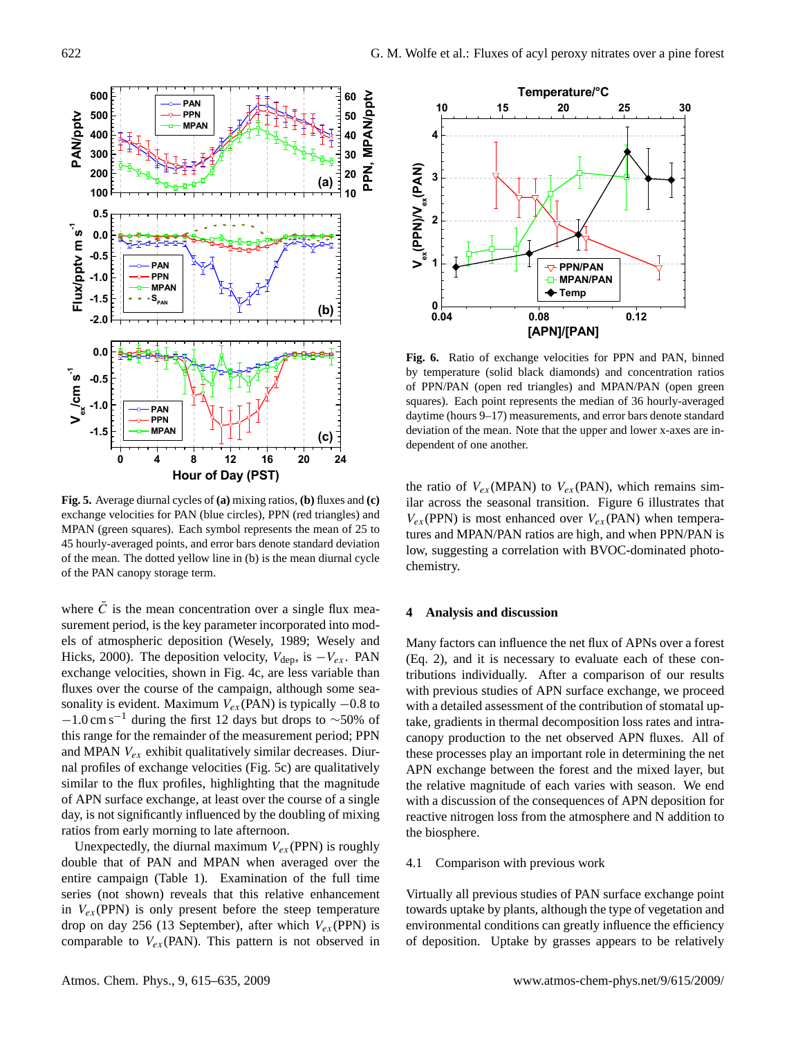

**Fig. 5.** Average diurnal cycles of **(a)** mixing ratios, **(b)** fluxes and **(c)** exchange velocities for PAN (blue circles), PPN (red triangles) and MPAN (green squares). Each symbol represents the mean of 25 to 45 hourly-averaged points, and error bars denote standard deviation of the mean. The dotted yellow line in (b) is the mean diurnal cycle of the PAN canopy storage term.

where  $\overline{C}$  is the mean concentration over a single flux measurement period, is the key parameter incorporated into models of atmospheric deposition (Wesely, 1989; Wesely and Hicks, 2000). The deposition velocity,  $V_{\text{dep}}$ , is  $-V_{ex}$ . PAN exchange velocities, shown in Fig. 4c, are less variable than fluxes over the course of the campaign, although some seasonality is evident. Maximum  $V_{ex}$ (PAN) is typically  $-0.8$  to  $-1.0 \text{ cm s}^{-1}$  during the first 12 days but drops to ~50% of this range for the remainder of the measurement period; PPN and MPAN  $V_{ex}$  exhibit qualitatively similar decreases. Diurnal profiles of exchange velocities (Fig. 5c) are qualitatively similar to the flux profiles, highlighting that the magnitude of APN surface exchange, at least over the course of a single day, is not significantly influenced by the doubling of mixing ratios from early morning to late afternoon.

Unexpectedly, the diurnal maximum  $V_{ex}$ (PPN) is roughly double that of PAN and MPAN when averaged over the entire campaign (Table 1). Examination of the full time series (not shown) reveals that this relative enhancement in  $V_{ex}$ (PPN) is only present before the steep temperature drop on day 256 (13 September), after which  $V_{ex}$ (PPN) is comparable to  $V_{ex}$ (PAN). This pattern is not observed in



**Fig. 6.** Ratio of exchange velocities for PPN and PAN, binned by temperature (solid black diamonds) and concentration ratios of PPN/PAN (open red triangles) and MPAN/PAN (open green squares). Each point represents the median of 36 hourly-averaged daytime (hours 9–17) measurements, and error bars denote standard deviation of the mean. Note that the upper and lower x-axes are independent of one another.

the ratio of  $V_{ex}$ (MPAN) to  $V_{ex}$ (PAN), which remains similar across the seasonal transition. Figure 6 illustrates that  $V_{ex}$ (PPN) is most enhanced over  $V_{ex}$ (PAN) when temperatures and MPAN/PAN ratios are high, and when PPN/PAN is low, suggesting a correlation with BVOC-dominated photochemistry.

# **4 Analysis and discussion**

Many factors can influence the net flux of APNs over a forest (Eq. 2), and it is necessary to evaluate each of these contributions individually. After a comparison of our results with previous studies of APN surface exchange, we proceed with a detailed assessment of the contribution of stomatal uptake, gradients in thermal decomposition loss rates and intracanopy production to the net observed APN fluxes. All of these processes play an important role in determining the net APN exchange between the forest and the mixed layer, but the relative magnitude of each varies with season. We end with a discussion of the consequences of APN deposition for reactive nitrogen loss from the atmosphere and N addition to the biosphere.

#### 4.1 Comparison with previous work

Virtually all previous studies of PAN surface exchange point towards uptake by plants, although the type of vegetation and environmental conditions can greatly influence the efficiency of deposition. Uptake by grasses appears to be relatively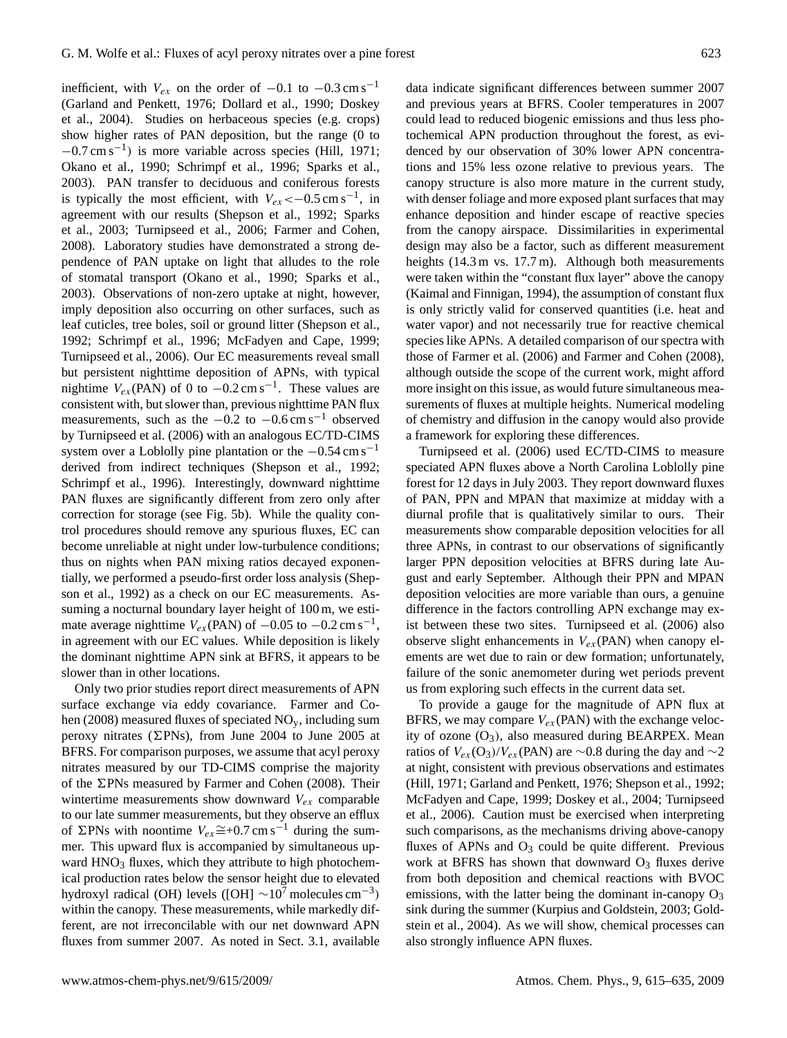inefficient, with  $V_{ex}$  on the order of  $-0.1$  to  $-0.3$  cm s<sup>-1</sup> (Garland and Penkett, 1976; Dollard et al., 1990; Doskey et al., 2004). Studies on herbaceous species (e.g. crops) show higher rates of PAN deposition, but the range (0 to  $-0.7 \text{ cm s}^{-1}$ ) is more variable across species (Hill, 1971; Okano et al., 1990; Schrimpf et al., 1996; Sparks et al., 2003). PAN transfer to deciduous and coniferous forests is typically the most efficient, with  $V_{ex} < -0.5 \text{ cm s}^{-1}$ , in agreement with our results (Shepson et al., 1992; Sparks et al., 2003; Turnipseed et al., 2006; Farmer and Cohen, 2008). Laboratory studies have demonstrated a strong dependence of PAN uptake on light that alludes to the role of stomatal transport (Okano et al., 1990; Sparks et al., 2003). Observations of non-zero uptake at night, however, imply deposition also occurring on other surfaces, such as leaf cuticles, tree boles, soil or ground litter (Shepson et al., 1992; Schrimpf et al., 1996; McFadyen and Cape, 1999; Turnipseed et al., 2006). Our EC measurements reveal small but persistent nighttime deposition of APNs, with typical nightime  $V_{ex}$ (PAN) of 0 to  $-0.2 \text{ cm s}^{-1}$ . These values are consistent with, but slower than, previous nighttime PAN flux measurements, such as the  $-0.2$  to  $-0.6$  cm s<sup>-1</sup> observed by Turnipseed et al. (2006) with an analogous EC/TD-CIMS system over a Loblolly pine plantation or the  $-0.54 \text{ cm s}^{-1}$ derived from indirect techniques (Shepson et al., 1992; Schrimpf et al., 1996). Interestingly, downward nighttime PAN fluxes are significantly different from zero only after correction for storage (see Fig. 5b). While the quality control procedures should remove any spurious fluxes, EC can become unreliable at night under low-turbulence conditions; thus on nights when PAN mixing ratios decayed exponentially, we performed a pseudo-first order loss analysis (Shepson et al., 1992) as a check on our EC measurements. Assuming a nocturnal boundary layer height of 100 m, we estimate average nighttime  $V_{ex}$ (PAN) of  $-0.05$  to  $-0.2$  cm s<sup>-1</sup>, in agreement with our EC values. While deposition is likely the dominant nighttime APN sink at BFRS, it appears to be slower than in other locations.

Only two prior studies report direct measurements of APN surface exchange via eddy covariance. Farmer and Cohen (2008) measured fluxes of speciated NOy, including sum peroxy nitrates ( $\Sigma$ PNs), from June 2004 to June 2005 at BFRS. For comparison purposes, we assume that acyl peroxy nitrates measured by our TD-CIMS comprise the majority of the  $\Sigma$ PNs measured by Farmer and Cohen (2008). Their wintertime measurements show downward  $V_{ex}$  comparable to our late summer measurements, but they observe an efflux of ∑PNs with noontime  $V_{ex} \cong +0.7 \text{ cm s}^{-1}$  during the summer. This upward flux is accompanied by simultaneous upward  $HNO<sub>3</sub>$  fluxes, which they attribute to high photochemical production rates below the sensor height due to elevated hydroxyl radical (OH) levels ([OH]  $\sim 10^7$  molecules cm<sup>-3</sup>) within the canopy. These measurements, while markedly different, are not irreconcilable with our net downward APN fluxes from summer 2007. As noted in Sect. 3.1, available

data indicate significant differences between summer 2007 and previous years at BFRS. Cooler temperatures in 2007 could lead to reduced biogenic emissions and thus less photochemical APN production throughout the forest, as evidenced by our observation of 30% lower APN concentrations and 15% less ozone relative to previous years. The canopy structure is also more mature in the current study, with denser foliage and more exposed plant surfaces that may enhance deposition and hinder escape of reactive species from the canopy airspace. Dissimilarities in experimental design may also be a factor, such as different measurement heights (14.3 m vs. 17.7 m). Although both measurements were taken within the "constant flux layer" above the canopy (Kaimal and Finnigan, 1994), the assumption of constant flux is only strictly valid for conserved quantities (i.e. heat and water vapor) and not necessarily true for reactive chemical species like APNs. A detailed comparison of our spectra with those of Farmer et al. (2006) and Farmer and Cohen (2008), although outside the scope of the current work, might afford more insight on this issue, as would future simultaneous measurements of fluxes at multiple heights. Numerical modeling of chemistry and diffusion in the canopy would also provide a framework for exploring these differences.

Turnipseed et al. (2006) used EC/TD-CIMS to measure speciated APN fluxes above a North Carolina Loblolly pine forest for 12 days in July 2003. They report downward fluxes of PAN, PPN and MPAN that maximize at midday with a diurnal profile that is qualitatively similar to ours. Their measurements show comparable deposition velocities for all three APNs, in contrast to our observations of significantly larger PPN deposition velocities at BFRS during late August and early September. Although their PPN and MPAN deposition velocities are more variable than ours, a genuine difference in the factors controlling APN exchange may exist between these two sites. Turnipseed et al. (2006) also observe slight enhancements in  $V_{ex}$ (PAN) when canopy elements are wet due to rain or dew formation; unfortunately, failure of the sonic anemometer during wet periods prevent us from exploring such effects in the current data set.

To provide a gauge for the magnitude of APN flux at BFRS, we may compare  $V_{ex}$ (PAN) with the exchange velocity of ozone  $(O_3)$ , also measured during BEARPEX. Mean ratios of  $V_{ex}(O_3)/V_{ex}(PAN)$  are ∼0.8 during the day and ∼2 at night, consistent with previous observations and estimates (Hill, 1971; Garland and Penkett, 1976; Shepson et al., 1992; McFadyen and Cape, 1999; Doskey et al., 2004; Turnipseed et al., 2006). Caution must be exercised when interpreting such comparisons, as the mechanisms driving above-canopy fluxes of APNs and  $O_3$  could be quite different. Previous work at BFRS has shown that downward  $O<sub>3</sub>$  fluxes derive from both deposition and chemical reactions with BVOC emissions, with the latter being the dominant in-canopy  $O<sub>3</sub>$ sink during the summer (Kurpius and Goldstein, 2003; Goldstein et al., 2004). As we will show, chemical processes can also strongly influence APN fluxes.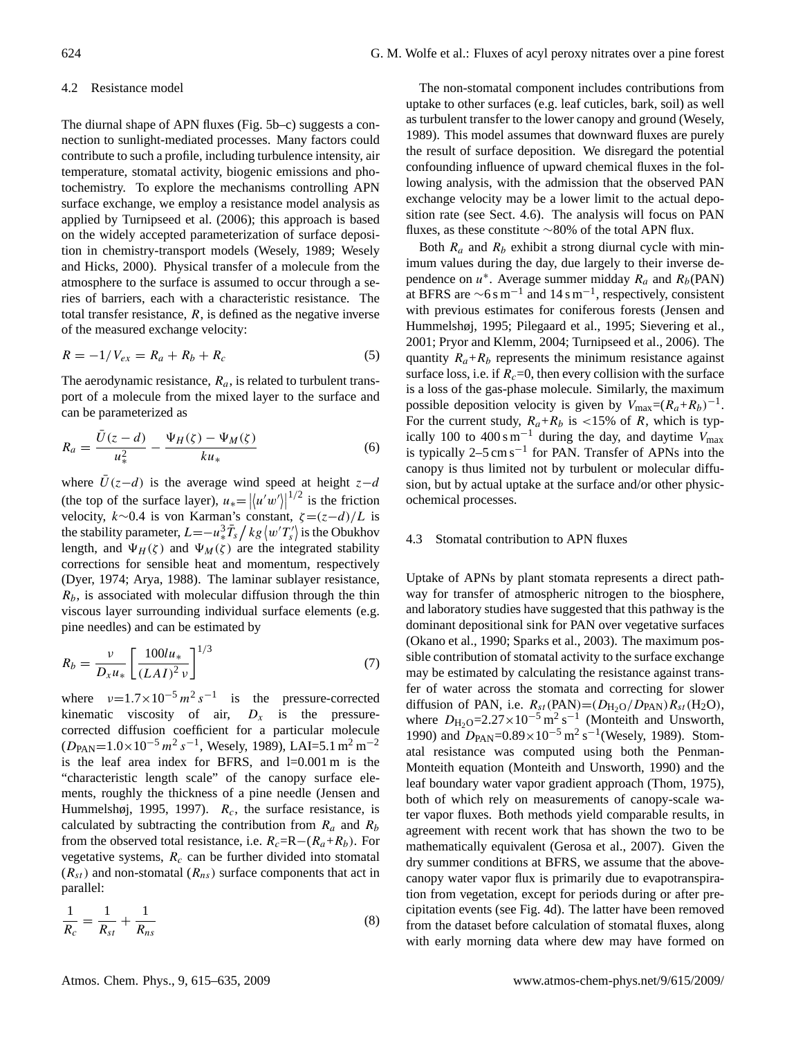#### 4.2 Resistance model

The diurnal shape of APN fluxes (Fig. 5b–c) suggests a connection to sunlight-mediated processes. Many factors could contribute to such a profile, including turbulence intensity, air temperature, stomatal activity, biogenic emissions and photochemistry. To explore the mechanisms controlling APN surface exchange, we employ a resistance model analysis as applied by Turnipseed et al. (2006); this approach is based on the widely accepted parameterization of surface deposition in chemistry-transport models (Wesely, 1989; Wesely and Hicks, 2000). Physical transfer of a molecule from the atmosphere to the surface is assumed to occur through a series of barriers, each with a characteristic resistance. The total transfer resistance,  $R$ , is defined as the negative inverse of the measured exchange velocity:

$$
R = -1/V_{ex} = R_a + R_b + R_c \tag{5}
$$

The aerodynamic resistance,  $R_a$ , is related to turbulent transport of a molecule from the mixed layer to the surface and can be parameterized as

$$
R_a = \frac{\bar{U}(z-d)}{u_*^2} - \frac{\Psi_H(\zeta) - \Psi_M(\zeta)}{ku_*}
$$
 (6)

where  $\bar{U}(z-d)$  is the average wind speed at height  $z-d$ (the top of the surface layer),  $u_* = |\langle u'w' \rangle|$  $1/2$  is the friction velocity,  $k \sim 0.4$  is von Karman's constant,  $\zeta = (z-d)/L$  is the stability parameter,  $L = -u_*^3 \bar{T}_s / k g \langle w' T'_s \rangle$  is the Obukhov length, and  $\Psi_H(\zeta)$  and  $\Psi_M(\zeta)$  are the integrated stability corrections for sensible heat and momentum, respectively (Dyer, 1974; Arya, 1988). The laminar sublayer resistance,  $R_b$ , is associated with molecular diffusion through the thin viscous layer surrounding individual surface elements (e.g. pine needles) and can be estimated by

$$
R_b = \frac{v}{D_x u_*} \left[ \frac{100/u_*}{(LAI)^2 v} \right]^{1/3} \tag{7}
$$

where  $v=1.7\times10^{-5} m^2 s^{-1}$  is the pressure-corrected kinematic viscosity of air,  $D_x$  is the pressurecorrected diffusion coefficient for a particular molecule  $(D_{PAN}=1.0\times10^{-5} m^2 s^{-1}$ , Wesely, 1989), LAI=5.1 m<sup>2</sup> m<sup>-2</sup> is the leaf area index for BFRS, and l=0.001 m is the "characteristic length scale" of the canopy surface elements, roughly the thickness of a pine needle (Jensen and Hummelshøj, 1995, 1997).  $R_c$ , the surface resistance, is calculated by subtracting the contribution from  $R_a$  and  $R_b$ from the observed total resistance, i.e.  $R_c=R-(R_a+R_b)$ . For vegetative systems,  $R_c$  can be further divided into stomatal  $(R_{st})$  and non-stomatal  $(R_{ns})$  surface components that act in parallel:

$$
\frac{1}{R_c} = \frac{1}{R_{st}} + \frac{1}{R_{ns}}
$$
(8)

The non-stomatal component includes contributions from uptake to other surfaces (e.g. leaf cuticles, bark, soil) as well as turbulent transfer to the lower canopy and ground (Wesely, 1989). This model assumes that downward fluxes are purely the result of surface deposition. We disregard the potential confounding influence of upward chemical fluxes in the following analysis, with the admission that the observed PAN exchange velocity may be a lower limit to the actual deposition rate (see Sect. 4.6). The analysis will focus on PAN fluxes, as these constitute ∼80% of the total APN flux.

Both  $R_a$  and  $R_b$  exhibit a strong diurnal cycle with minimum values during the day, due largely to their inverse dependence on  $u^*$ . Average summer midday  $R_a$  and  $R_b$ (PAN) at BFRS are  $\sim$ 6 s m<sup>-1</sup> and 14 s m<sup>-1</sup>, respectively, consistent with previous estimates for coniferous forests (Jensen and Hummelshøj, 1995; Pilegaard et al., 1995; Sievering et al., 2001; Pryor and Klemm, 2004; Turnipseed et al., 2006). The quantity  $R_a+R_b$  represents the minimum resistance against surface loss, i.e. if  $R<sub>c</sub>=0$ , then every collision with the surface is a loss of the gas-phase molecule. Similarly, the maximum possible deposition velocity is given by  $V_{\text{max}} = (R_a + R_b)^{-1}$ . For the current study,  $R_a+R_b$  is <15% of R, which is typically 100 to 400 s m<sup>-1</sup> during the day, and daytime  $V_{\text{max}}$ is typically  $2-5$  cm s<sup>-1</sup> for PAN. Transfer of APNs into the canopy is thus limited not by turbulent or molecular diffusion, but by actual uptake at the surface and/or other physicochemical processes.

#### 4.3 Stomatal contribution to APN fluxes

Uptake of APNs by plant stomata represents a direct pathway for transfer of atmospheric nitrogen to the biosphere, and laboratory studies have suggested that this pathway is the dominant depositional sink for PAN over vegetative surfaces (Okano et al., 1990; Sparks et al., 2003). The maximum possible contribution of stomatal activity to the surface exchange may be estimated by calculating the resistance against transfer of water across the stomata and correcting for slower diffusion of PAN, i.e.  $R_{st}$ (PAN)=( $D_{H_2O}/D_{PAN}$ ) $R_{st}$ (H<sub>2</sub>O), where  $D_{\text{H}_2\text{O}} = 2.27 \times 10^{-5} \text{ m}^2 \text{ s}^{-1}$  (Monteith and Unsworth, 1990) and  $D_{\text{PAN}} = 0.89 \times 10^{-5} \text{ m}^2 \text{ s}^{-1}$  (Wesely, 1989). Stomatal resistance was computed using both the Penman-Monteith equation (Monteith and Unsworth, 1990) and the leaf boundary water vapor gradient approach (Thom, 1975), both of which rely on measurements of canopy-scale water vapor fluxes. Both methods yield comparable results, in agreement with recent work that has shown the two to be mathematically equivalent (Gerosa et al., 2007). Given the dry summer conditions at BFRS, we assume that the abovecanopy water vapor flux is primarily due to evapotranspiration from vegetation, except for periods during or after precipitation events (see Fig. 4d). The latter have been removed from the dataset before calculation of stomatal fluxes, along with early morning data where dew may have formed on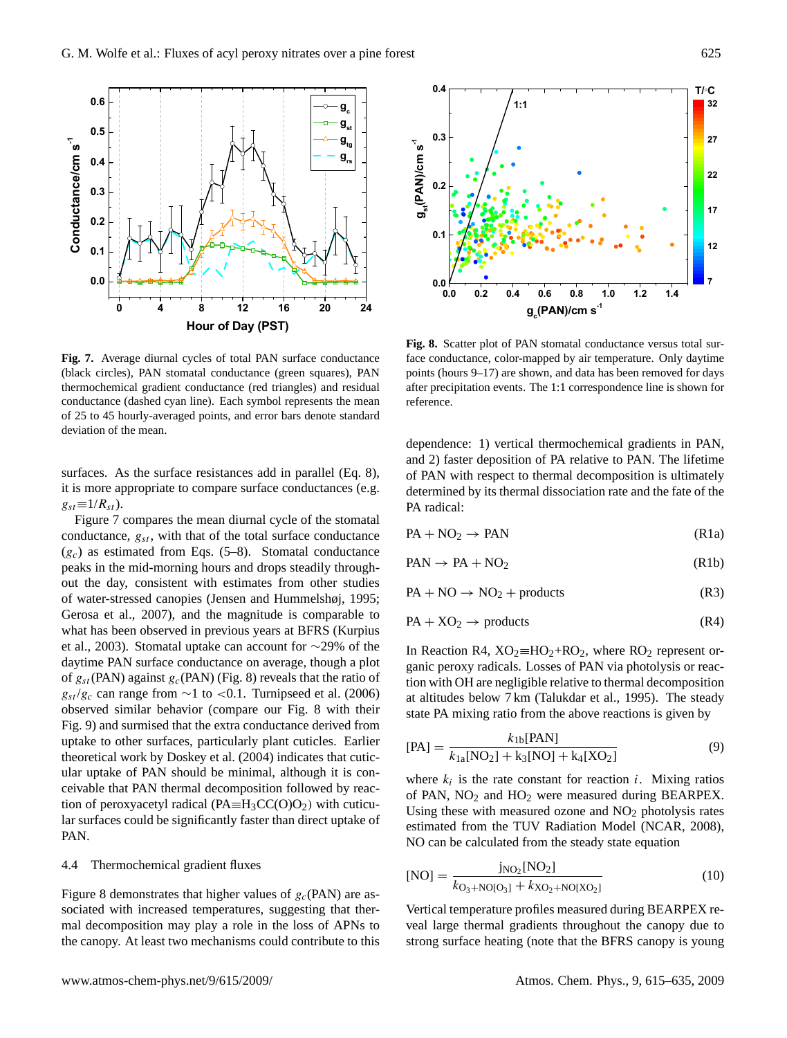

**Fig. 7.** Average diurnal cycles of total PAN surface conductance (black circles), PAN stomatal conductance (green squares), PAN thermochemical gradient conductance (red triangles) and residual conductance (dashed cyan line). Each symbol represents the mean of 25 to 45 hourly-averaged points, and error bars denote standard deviation of the mean.

surfaces. As the surface resistances add in parallel (Eq. 8), it is more appropriate to compare surface conductances (e.g.  $g_{st} \equiv 1/R_{st}$ ).

Figure 7 compares the mean diurnal cycle of the stomatal conductance,  $g_{st}$ , with that of the total surface conductance  $(g_c)$  as estimated from Eqs. (5–8). Stomatal conductance peaks in the mid-morning hours and drops steadily throughout the day, consistent with estimates from other studies of water-stressed canopies (Jensen and Hummelshøj, 1995; Gerosa et al., 2007), and the magnitude is comparable to what has been observed in previous years at BFRS (Kurpius et al., 2003). Stomatal uptake can account for ∼29% of the daytime PAN surface conductance on average, though a plot of  $g_{st}$ (PAN) against  $g_c$ (PAN) (Fig. 8) reveals that the ratio of  $g_{st}/g_c$  can range from ∼1 to <0.1. Turnipseed et al. (2006) observed similar behavior (compare our Fig. 8 with their Fig. 9) and surmised that the extra conductance derived from uptake to other surfaces, particularly plant cuticles. Earlier theoretical work by Doskey et al. (2004) indicates that cuticular uptake of PAN should be minimal, although it is conceivable that PAN thermal decomposition followed by reaction of peroxyacetyl radical (PA $\equiv$ H<sub>3</sub>CC(O)O<sub>2</sub>) with cuticular surfaces could be significantly faster than direct uptake of PAN.

## 4.4 Thermochemical gradient fluxes

Figure 8 demonstrates that higher values of  $g_c(PAN)$  are associated with increased temperatures, suggesting that thermal decomposition may play a role in the loss of APNs to the canopy. At least two mechanisms could contribute to this



**Fig. 8.** Scatter plot of PAN stomatal conductance versus total surface conductance, color-mapped by air temperature. Only daytime points (hours 9–17) are shown, and data has been removed for days after precipitation events. The 1:1 correspondence line is shown for reference.

dependence: 1) vertical thermochemical gradients in PAN, and 2) faster deposition of PA relative to PAN. The lifetime of PAN with respect to thermal decomposition is ultimately determined by its thermal dissociation rate and the fate of the PA radical:

$$
PA + NO_2 \rightarrow PAN \tag{R1a}
$$

$$
PAN \to PA + NO_2 \tag{R1b}
$$

 $PA + NO \rightarrow NO_2 + products$  (R3)

$$
PA + XO2 \rightarrow products
$$
 (R4)

In Reaction R4,  $XO_2 \equiv HO_2 + RO_2$ , where  $RO_2$  represent organic peroxy radicals. Losses of PAN via photolysis or reaction with OH are negligible relative to thermal decomposition at altitudes below 7 km (Talukdar et al., 1995). The steady state PA mixing ratio from the above reactions is given by

$$
[PA] = \frac{k_{1b}[PAN]}{k_{1a}[NO_2] + k_3[NO] + k_4[NO_2]}
$$
\n(9)

where  $k_i$  is the rate constant for reaction i. Mixing ratios of PAN,  $NO<sub>2</sub>$  and  $HO<sub>2</sub>$  were measured during BEARPEX. Using these with measured ozone and  $NO<sub>2</sub>$  photolysis rates estimated from the TUV Radiation Model (NCAR, 2008), NO can be calculated from the steady state equation

$$
[NO] = \frac{j_{NO_2}[NO_2]}{k_{O_3 + NO[O_3]} + k_{NO_2 + NO[NO_2]}}
$$
(10)

Vertical temperature profiles measured during BEARPEX reveal large thermal gradients throughout the canopy due to strong surface heating (note that the BFRS canopy is young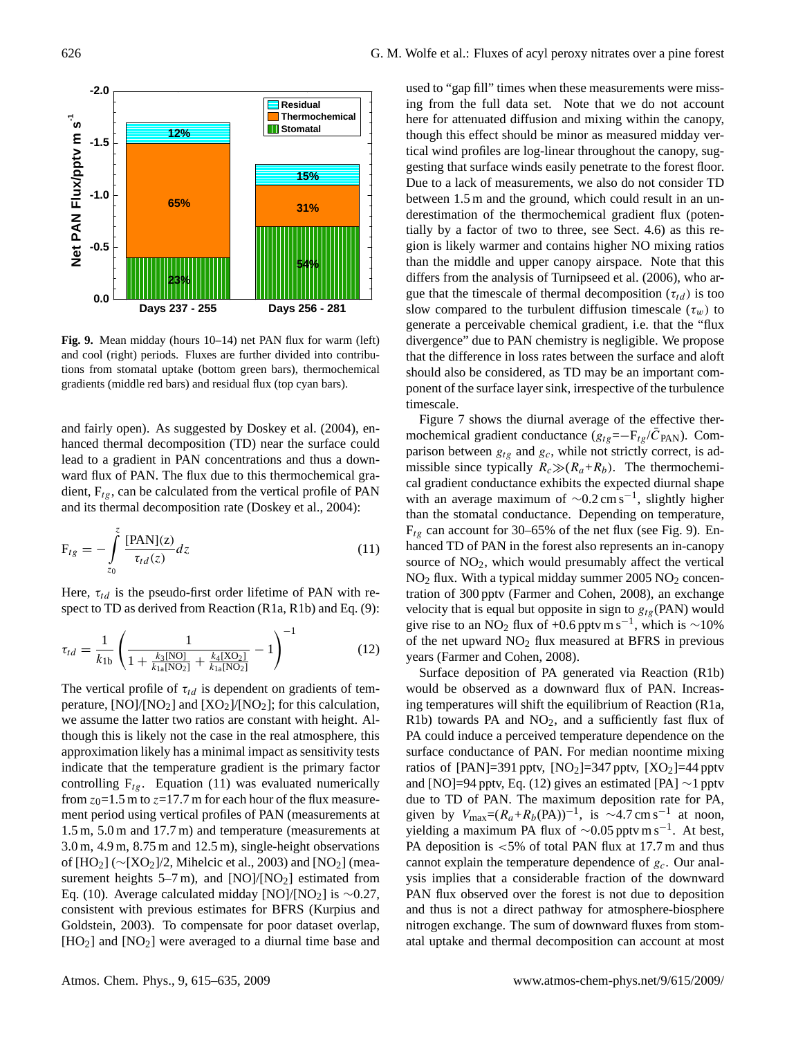

**Fig. 9.** Mean midday (hours 10–14) net PAN flux for warm (left) and cool (right) periods. Fluxes are further divided into contributions from stomatal uptake (bottom green bars), thermochemical gradients (middle red bars) and residual flux (top cyan bars).

and fairly open). As suggested by Doskey et al. (2004), enhanced thermal decomposition (TD) near the surface could lead to a gradient in PAN concentrations and thus a downward flux of PAN. The flux due to this thermochemical gradient,  $F_{tg}$ , can be calculated from the vertical profile of PAN and its thermal decomposition rate (Doskey et al., 2004):

$$
F_{tg} = -\int_{z_0}^{z} \frac{[PAN](z)}{\tau_{td}(z)} dz
$$
\n(11)

Here,  $\tau_{td}$  is the pseudo-first order lifetime of PAN with respect to TD as derived from Reaction (R1a, R1b) and Eq. (9):

$$
\tau_{td} = \frac{1}{k_{1b}} \left( \frac{1}{1 + \frac{k_3[NO]}{k_{1a}[NO_2]} + \frac{k_4[NO_2]}{k_{1a}[NO_2]}} - 1 \right)^{-1}
$$
(12)

The vertical profile of  $\tau_{td}$  is dependent on gradients of temperature,  $[NO]/[NO<sub>2</sub>]$  and  $[XO<sub>2</sub>]/[NO<sub>2</sub>]$ ; for this calculation, we assume the latter two ratios are constant with height. Although this is likely not the case in the real atmosphere, this approximation likely has a minimal impact as sensitivity tests indicate that the temperature gradient is the primary factor controlling  $F_{tg}$ . Equation (11) was evaluated numerically from  $z_0$ =1.5 m to  $z$ =17.7 m for each hour of the flux measurement period using vertical profiles of PAN (measurements at 1.5 m, 5.0 m and 17.7 m) and temperature (measurements at 3.0 m, 4.9 m, 8.75 m and 12.5 m), single-height observations of  $[HO<sub>2</sub>]$  ( $\sim$ [XO<sub>2</sub>]/2, Mihelcic et al., 2003) and [NO<sub>2</sub>] (measurement heights  $5-7$  m), and  $[NO]/[NO<sub>2</sub>]$  estimated from Eq. (10). Average calculated midday [NO]/[NO<sub>2</sub>] is ∼0.27, consistent with previous estimates for BFRS (Kurpius and Goldstein, 2003). To compensate for poor dataset overlap,  $[HO<sub>2</sub>]$  and  $[NO<sub>2</sub>]$  were averaged to a diurnal time base and used to "gap fill" times when these measurements were missing from the full data set. Note that we do not account here for attenuated diffusion and mixing within the canopy, though this effect should be minor as measured midday vertical wind profiles are log-linear throughout the canopy, suggesting that surface winds easily penetrate to the forest floor. Due to a lack of measurements, we also do not consider TD between 1.5 m and the ground, which could result in an underestimation of the thermochemical gradient flux (potentially by a factor of two to three, see Sect. 4.6) as this region is likely warmer and contains higher NO mixing ratios than the middle and upper canopy airspace. Note that this differs from the analysis of Turnipseed et al. (2006), who argue that the timescale of thermal decomposition ( $\tau_{td}$ ) is too slow compared to the turbulent diffusion timescale ( $\tau_w$ ) to generate a perceivable chemical gradient, i.e. that the "flux divergence" due to PAN chemistry is negligible. We propose that the difference in loss rates between the surface and aloft should also be considered, as TD may be an important component of the surface layer sink, irrespective of the turbulence timescale.

Figure 7 shows the diurnal average of the effective thermochemical gradient conductance  $(g_{tg} = -F_{tg}/\bar{C}_{PAN})$ . Comparison between  $g_{tg}$  and  $g_c$ , while not strictly correct, is admissible since typically  $R_c \gg (R_a+R_b)$ . The thermochemical gradient conductance exhibits the expected diurnal shape with an average maximum of ~0.2 cm s<sup>-1</sup>, slightly higher than the stomatal conductance. Depending on temperature,  $F_{tg}$  can account for 30–65% of the net flux (see Fig. 9). Enhanced TD of PAN in the forest also represents an in-canopy source of NO<sub>2</sub>, which would presumably affect the vertical  $NO<sub>2</sub>$  flux. With a typical midday summer 2005  $NO<sub>2</sub>$  concentration of 300 pptv (Farmer and Cohen, 2008), an exchange velocity that is equal but opposite in sign to  $g_{tg}$ (PAN) would give rise to an NO<sub>2</sub> flux of +0.6 pptv m s<sup>-1</sup>, which is ~10% of the net upward NO<sub>2</sub> flux measured at BFRS in previous years (Farmer and Cohen, 2008).

Surface deposition of PA generated via Reaction (R1b) would be observed as a downward flux of PAN. Increasing temperatures will shift the equilibrium of Reaction (R1a, R1b) towards PA and  $NO<sub>2</sub>$ , and a sufficiently fast flux of PA could induce a perceived temperature dependence on the surface conductance of PAN. For median noontime mixing ratios of [PAN]=391 pptv,  $[NO<sub>2</sub>] = 347$  pptv,  $[NO<sub>2</sub>] = 44$  pptv and [NO]=94 pptv, Eq. (12) gives an estimated [PA] ∼1 pptv due to TD of PAN. The maximum deposition rate for PA, given by  $V_{\text{max}} = (R_a + R_b(\text{PA}))^{-1}$ , is  $\sim 4.7 \text{ cm s}^{-1}$  at noon, yielding a maximum PA flux of  $\sim$ 0.05 pptv m s<sup>-1</sup>. At best, PA deposition is  $\lt 5\%$  of total PAN flux at 17.7 m and thus cannot explain the temperature dependence of  $g_c$ . Our analysis implies that a considerable fraction of the downward PAN flux observed over the forest is not due to deposition and thus is not a direct pathway for atmosphere-biosphere nitrogen exchange. The sum of downward fluxes from stomatal uptake and thermal decomposition can account at most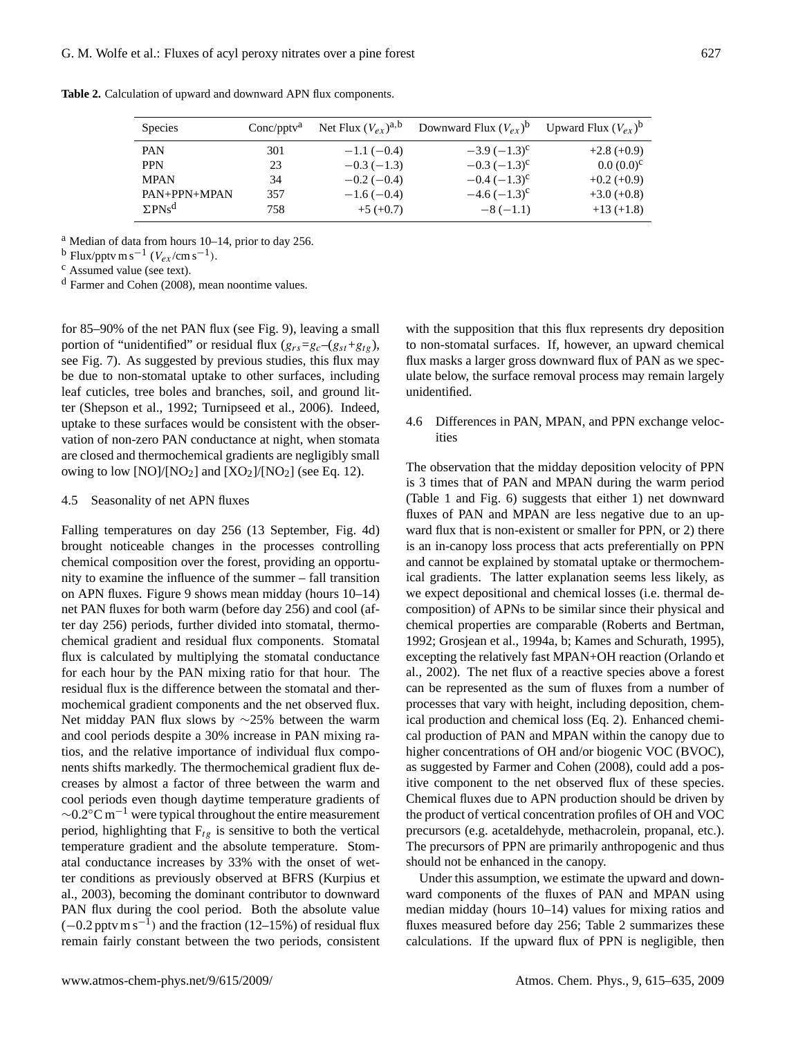| <b>Species</b>   | $Conc/$ pptv <sup>a</sup> | Net Flux $(V_{ex})^{a,b}$ | Downward Flux $(V_{ex})^b$ | Upward Flux $(V_{ex})^b$ |
|------------------|---------------------------|---------------------------|----------------------------|--------------------------|
| PAN              | 301                       | $-1.1(-0.4)$              | $-3.9(-1.3)^c$             | $+2.8(+0.9)$             |
| <b>PPN</b>       | 23                        | $-0.3(-1.3)$              | $-0.3$ $(-1.3)^c$          | $0.0(0.0)^c$             |
| <b>MPAN</b>      | 34                        | $-0.2(-0.4)$              | $-0.4$ $(-1.3)^c$          | $+0.2(+0.9)$             |
| PAN+PPN+MPAN     | 357                       | $-1.6(-0.4)$              | $-4.6$ $(-1.3)^c$          | $+3.0(+0.8)$             |
| $\Sigma P N s^d$ | 758                       | $+5 (+0.7)$               | $-8(-1.1)$                 | $+13 (+1.8)$             |

**Table 2.** Calculation of upward and downward APN flux components.

<sup>a</sup> Median of data from hours 10–14, prior to day 256.

<sup>b</sup> Flux/pptv m s<sup>-1</sup> ( $V_{ex}/\text{cm s}^{-1}$ ).

<sup>c</sup> Assumed value (see text).

<sup>d</sup> Farmer and Cohen (2008), mean noontime values.

for 85–90% of the net PAN flux (see Fig. 9), leaving a small portion of "unidentified" or residual flux  $(g_{rs}=g_c-(g_{st}+g_{tg})$ , see Fig. 7). As suggested by previous studies, this flux may be due to non-stomatal uptake to other surfaces, including leaf cuticles, tree boles and branches, soil, and ground litter (Shepson et al., 1992; Turnipseed et al., 2006). Indeed, uptake to these surfaces would be consistent with the observation of non-zero PAN conductance at night, when stomata are closed and thermochemical gradients are negligibly small owing to low  $[NO]/[NO<sub>2</sub>]$  and  $[KO<sub>2</sub>]/[NO<sub>2</sub>]$  (see Eq. 12).

## 4.5 Seasonality of net APN fluxes

Falling temperatures on day 256 (13 September, Fig. 4d) brought noticeable changes in the processes controlling chemical composition over the forest, providing an opportunity to examine the influence of the summer – fall transition on APN fluxes. Figure 9 shows mean midday (hours 10–14) net PAN fluxes for both warm (before day 256) and cool (after day 256) periods, further divided into stomatal, thermochemical gradient and residual flux components. Stomatal flux is calculated by multiplying the stomatal conductance for each hour by the PAN mixing ratio for that hour. The residual flux is the difference between the stomatal and thermochemical gradient components and the net observed flux. Net midday PAN flux slows by ∼25% between the warm and cool periods despite a 30% increase in PAN mixing ratios, and the relative importance of individual flux components shifts markedly. The thermochemical gradient flux decreases by almost a factor of three between the warm and cool periods even though daytime temperature gradients of  $\sim 0.2$ °C m<sup>-1</sup> were typical throughout the entire measurement period, highlighting that  $F_{tg}$  is sensitive to both the vertical temperature gradient and the absolute temperature. Stomatal conductance increases by 33% with the onset of wetter conditions as previously observed at BFRS (Kurpius et al., 2003), becoming the dominant contributor to downward PAN flux during the cool period. Both the absolute value  $(-0.2$  pptv m s<sup>-1</sup>) and the fraction (12–15%) of residual flux remain fairly constant between the two periods, consistent with the supposition that this flux represents dry deposition to non-stomatal surfaces. If, however, an upward chemical flux masks a larger gross downward flux of PAN as we speculate below, the surface removal process may remain largely unidentified.

# 4.6 Differences in PAN, MPAN, and PPN exchange velocities

The observation that the midday deposition velocity of PPN is 3 times that of PAN and MPAN during the warm period (Table 1 and Fig. 6) suggests that either 1) net downward fluxes of PAN and MPAN are less negative due to an upward flux that is non-existent or smaller for PPN, or 2) there is an in-canopy loss process that acts preferentially on PPN and cannot be explained by stomatal uptake or thermochemical gradients. The latter explanation seems less likely, as we expect depositional and chemical losses (i.e. thermal decomposition) of APNs to be similar since their physical and chemical properties are comparable (Roberts and Bertman, 1992; Grosjean et al., 1994a, b; Kames and Schurath, 1995), excepting the relatively fast MPAN+OH reaction (Orlando et al., 2002). The net flux of a reactive species above a forest can be represented as the sum of fluxes from a number of processes that vary with height, including deposition, chemical production and chemical loss (Eq. 2). Enhanced chemical production of PAN and MPAN within the canopy due to higher concentrations of OH and/or biogenic VOC (BVOC), as suggested by Farmer and Cohen (2008), could add a positive component to the net observed flux of these species. Chemical fluxes due to APN production should be driven by the product of vertical concentration profiles of OH and VOC precursors (e.g. acetaldehyde, methacrolein, propanal, etc.). The precursors of PPN are primarily anthropogenic and thus should not be enhanced in the canopy.

Under this assumption, we estimate the upward and downward components of the fluxes of PAN and MPAN using median midday (hours 10–14) values for mixing ratios and fluxes measured before day 256; Table 2 summarizes these calculations. If the upward flux of PPN is negligible, then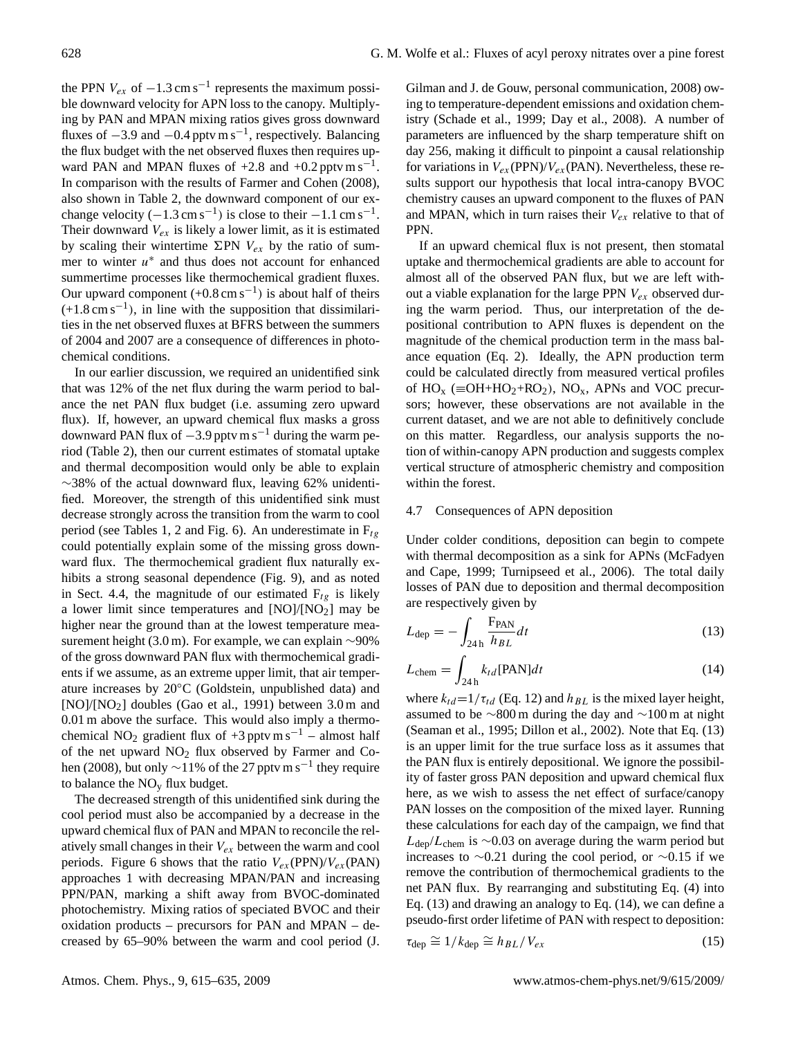the PPN  $V_{ex}$  of  $-1.3 \text{ cm s}^{-1}$  represents the maximum possible downward velocity for APN loss to the canopy. Multiplying by PAN and MPAN mixing ratios gives gross downward fluxes of  $-3.9$  and  $-0.4$  pptv m s<sup>-1</sup>, respectively. Balancing the flux budget with the net observed fluxes then requires upward PAN and MPAN fluxes of  $+2.8$  and  $+0.2$  pptv m s<sup>-1</sup>. In comparison with the results of Farmer and Cohen (2008), also shown in Table 2, the downward component of our exchange velocity  $(-1.3 \text{ cm s}^{-1})$  is close to their  $-1.1 \text{ cm s}^{-1}$ . Their downward  $V_{ex}$  is likely a lower limit, as it is estimated by scaling their wintertime  $\Sigma PN$   $V_{ex}$  by the ratio of summer to winter  $u^*$  and thus does not account for enhanced summertime processes like thermochemical gradient fluxes. Our upward component  $(+0.8 \text{ cm s}^{-1})$  is about half of theirs (+1.8 cm s−<sup>1</sup> ), in line with the supposition that dissimilarities in the net observed fluxes at BFRS between the summers of 2004 and 2007 are a consequence of differences in photochemical conditions.

In our earlier discussion, we required an unidentified sink that was 12% of the net flux during the warm period to balance the net PAN flux budget (i.e. assuming zero upward flux). If, however, an upward chemical flux masks a gross downward PAN flux of  $-3.9$  pptv m s<sup>-1</sup> during the warm period (Table 2), then our current estimates of stomatal uptake and thermal decomposition would only be able to explain  $\sim$ 38% of the actual downward flux, leaving 62% unidentified. Moreover, the strength of this unidentified sink must decrease strongly across the transition from the warm to cool period (see Tables 1, 2 and Fig. 6). An underestimate in  $F_{t}$ <sub>e</sub> could potentially explain some of the missing gross downward flux. The thermochemical gradient flux naturally exhibits a strong seasonal dependence (Fig. 9), and as noted in Sect. 4.4, the magnitude of our estimated  $F_{tg}$  is likely a lower limit since temperatures and  $[NO]/[NO<sub>2</sub>]$  may be higher near the ground than at the lowest temperature measurement height (3.0 m). For example, we can explain ∼90% of the gross downward PAN flux with thermochemical gradients if we assume, as an extreme upper limit, that air temperature increases by 20◦C (Goldstein, unpublished data) and [NO]/[NO<sub>2</sub>] doubles (Gao et al., 1991) between 3.0 m and 0.01 m above the surface. This would also imply a thermochemical NO<sub>2</sub> gradient flux of +3 pptv m s<sup>-1</sup> – almost half of the net upward  $NO<sub>2</sub>$  flux observed by Farmer and Cohen (2008), but only  $\sim$ 11% of the 27 pptv m s<sup>-1</sup> they require to balance the  $NO<sub>v</sub>$  flux budget.

The decreased strength of this unidentified sink during the cool period must also be accompanied by a decrease in the upward chemical flux of PAN and MPAN to reconcile the relatively small changes in their  $V_{ex}$  between the warm and cool periods. Figure 6 shows that the ratio  $V_{ex}$ (PPN)/ $V_{ex}$ (PAN) approaches 1 with decreasing MPAN/PAN and increasing PPN/PAN, marking a shift away from BVOC-dominated photochemistry. Mixing ratios of speciated BVOC and their oxidation products – precursors for PAN and MPAN – decreased by 65–90% between the warm and cool period (J.

Gilman and J. de Gouw, personal communication, 2008) owing to temperature-dependent emissions and oxidation chemistry (Schade et al., 1999; Day et al., 2008). A number of parameters are influenced by the sharp temperature shift on day 256, making it difficult to pinpoint a causal relationship for variations in  $V_{ex}$ (PPN)/ $V_{ex}$ (PAN). Nevertheless, these results support our hypothesis that local intra-canopy BVOC chemistry causes an upward component to the fluxes of PAN and MPAN, which in turn raises their  $V_{ex}$  relative to that of PPN.

If an upward chemical flux is not present, then stomatal uptake and thermochemical gradients are able to account for almost all of the observed PAN flux, but we are left without a viable explanation for the large PPN  $V_{ex}$  observed during the warm period. Thus, our interpretation of the depositional contribution to APN fluxes is dependent on the magnitude of the chemical production term in the mass balance equation (Eq. 2). Ideally, the APN production term could be calculated directly from measured vertical profiles of  $HO_x$  ( $\equiv$ OH+HO<sub>2</sub>+RO<sub>2</sub>), NO<sub>x</sub>, APNs and VOC precursors; however, these observations are not available in the current dataset, and we are not able to definitively conclude on this matter. Regardless, our analysis supports the notion of within-canopy APN production and suggests complex vertical structure of atmospheric chemistry and composition within the forest.

#### 4.7 Consequences of APN deposition

Under colder conditions, deposition can begin to compete with thermal decomposition as a sink for APNs (McFadyen and Cape, 1999; Turnipseed et al., 2006). The total daily losses of PAN due to deposition and thermal decomposition are respectively given by

$$
L_{\rm dep} = -\int_{24\,\mathrm{h}} \frac{F_{\rm PAN}}{h_{BL}} dt
$$
\n(13)

$$
L_{\text{chem}} = \int_{24 \,\text{h}} k_{td} [\text{PAN}] dt \tag{14}
$$

where  $k_{td}$ =1/ $\tau_{td}$  (Eq. 12) and  $h_{BL}$  is the mixed layer height, assumed to be ∼800 m during the day and ∼100 m at night (Seaman et al., 1995; Dillon et al., 2002). Note that Eq. (13) is an upper limit for the true surface loss as it assumes that the PAN flux is entirely depositional. We ignore the possibility of faster gross PAN deposition and upward chemical flux here, as we wish to assess the net effect of surface/canopy PAN losses on the composition of the mixed layer. Running these calculations for each day of the campaign, we find that  $L_{\text{dep}}/L_{\text{chem}}$  is ~0.03 on average during the warm period but increases to ∼0.21 during the cool period, or ∼0.15 if we remove the contribution of thermochemical gradients to the net PAN flux. By rearranging and substituting Eq. (4) into Eq. (13) and drawing an analogy to Eq. (14), we can define a pseudo-first order lifetime of PAN with respect to deposition:

$$
\tau_{\rm dep} \cong 1/k_{\rm dep} \cong h_{BL}/V_{ex} \tag{15}
$$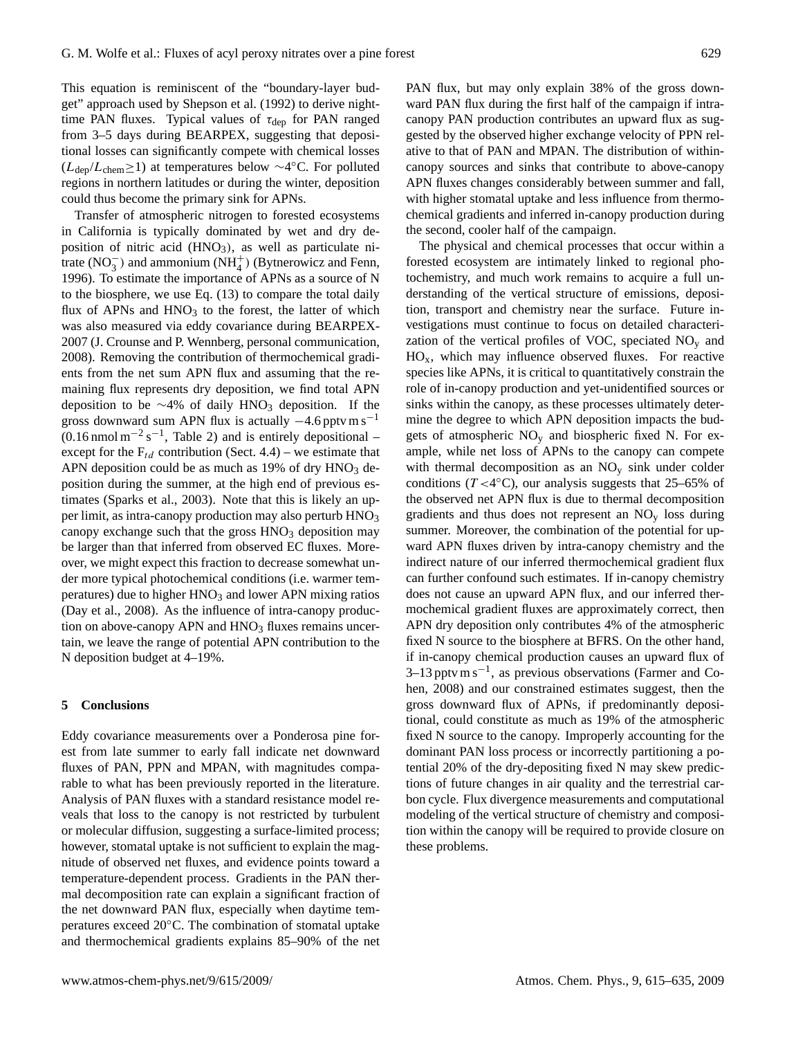This equation is reminiscent of the "boundary-layer budget" approach used by Shepson et al. (1992) to derive nighttime PAN fluxes. Typical values of  $\tau_{dep}$  for PAN ranged from 3–5 days during BEARPEX, suggesting that depositional losses can significantly compete with chemical losses ( $L_{\text{dep}}/L_{\text{chem}} \ge 1$ ) at temperatures below ∼4°C. For polluted regions in northern latitudes or during the winter, deposition could thus become the primary sink for APNs.

Transfer of atmospheric nitrogen to forested ecosystems in California is typically dominated by wet and dry deposition of nitric acid  $(HNO<sub>3</sub>)$ , as well as particulate nitrate ( $NO_3^-$ ) and ammonium ( $NH_4^+$ ) (Bytnerowicz and Fenn, 1996). To estimate the importance of APNs as a source of N to the biosphere, we use Eq. (13) to compare the total daily flux of APNs and  $HNO<sub>3</sub>$  to the forest, the latter of which was also measured via eddy covariance during BEARPEX-2007 (J. Crounse and P. Wennberg, personal communication, 2008). Removing the contribution of thermochemical gradients from the net sum APN flux and assuming that the remaining flux represents dry deposition, we find total APN deposition to be  $\sim$ 4% of daily HNO<sub>3</sub> deposition. If the gross downward sum APN flux is actually  $-4.6$  pptv m s<sup>-1</sup>  $(0.16 \text{ nmol m}^{-2} \text{ s}^{-1}$ , Table 2) and is entirely depositional – except for the  $F_{td}$  contribution (Sect. 4.4) – we estimate that APN deposition could be as much as  $19%$  of dry  $HNO<sub>3</sub>$  deposition during the summer, at the high end of previous estimates (Sparks et al., 2003). Note that this is likely an upper limit, as intra-canopy production may also perturb HNO<sub>3</sub> canopy exchange such that the gross  $HNO<sub>3</sub>$  deposition may be larger than that inferred from observed EC fluxes. Moreover, we might expect this fraction to decrease somewhat under more typical photochemical conditions (i.e. warmer temperatures) due to higher  $HNO<sub>3</sub>$  and lower APN mixing ratios (Day et al., 2008). As the influence of intra-canopy production on above-canopy APN and  $HNO<sub>3</sub>$  fluxes remains uncertain, we leave the range of potential APN contribution to the N deposition budget at 4–19%.

# **5 Conclusions**

Eddy covariance measurements over a Ponderosa pine forest from late summer to early fall indicate net downward fluxes of PAN, PPN and MPAN, with magnitudes comparable to what has been previously reported in the literature. Analysis of PAN fluxes with a standard resistance model reveals that loss to the canopy is not restricted by turbulent or molecular diffusion, suggesting a surface-limited process; however, stomatal uptake is not sufficient to explain the magnitude of observed net fluxes, and evidence points toward a temperature-dependent process. Gradients in the PAN thermal decomposition rate can explain a significant fraction of the net downward PAN flux, especially when daytime temperatures exceed 20◦C. The combination of stomatal uptake and thermochemical gradients explains 85–90% of the net PAN flux, but may only explain 38% of the gross downward PAN flux during the first half of the campaign if intracanopy PAN production contributes an upward flux as suggested by the observed higher exchange velocity of PPN relative to that of PAN and MPAN. The distribution of withincanopy sources and sinks that contribute to above-canopy APN fluxes changes considerably between summer and fall, with higher stomatal uptake and less influence from thermochemical gradients and inferred in-canopy production during the second, cooler half of the campaign.

The physical and chemical processes that occur within a forested ecosystem are intimately linked to regional photochemistry, and much work remains to acquire a full understanding of the vertical structure of emissions, deposition, transport and chemistry near the surface. Future investigations must continue to focus on detailed characterization of the vertical profiles of VOC, speciated  $NO<sub>v</sub>$  and  $HO<sub>x</sub>$ , which may influence observed fluxes. For reactive species like APNs, it is critical to quantitatively constrain the role of in-canopy production and yet-unidentified sources or sinks within the canopy, as these processes ultimately determine the degree to which APN deposition impacts the budgets of atmospheric NO<sup>y</sup> and biospheric fixed N. For example, while net loss of APNs to the canopy can compete with thermal decomposition as an  $NO<sub>y</sub>$  sink under colder conditions ( $T < 4$ °C), our analysis suggests that 25–65% of the observed net APN flux is due to thermal decomposition gradients and thus does not represent an NO<sup>y</sup> loss during summer. Moreover, the combination of the potential for upward APN fluxes driven by intra-canopy chemistry and the indirect nature of our inferred thermochemical gradient flux can further confound such estimates. If in-canopy chemistry does not cause an upward APN flux, and our inferred thermochemical gradient fluxes are approximately correct, then APN dry deposition only contributes 4% of the atmospheric fixed N source to the biosphere at BFRS. On the other hand, if in-canopy chemical production causes an upward flux of 3–13 pptv m s−<sup>1</sup> , as previous observations (Farmer and Cohen, 2008) and our constrained estimates suggest, then the gross downward flux of APNs, if predominantly depositional, could constitute as much as 19% of the atmospheric fixed N source to the canopy. Improperly accounting for the dominant PAN loss process or incorrectly partitioning a potential 20% of the dry-depositing fixed N may skew predictions of future changes in air quality and the terrestrial carbon cycle. Flux divergence measurements and computational modeling of the vertical structure of chemistry and composition within the canopy will be required to provide closure on these problems.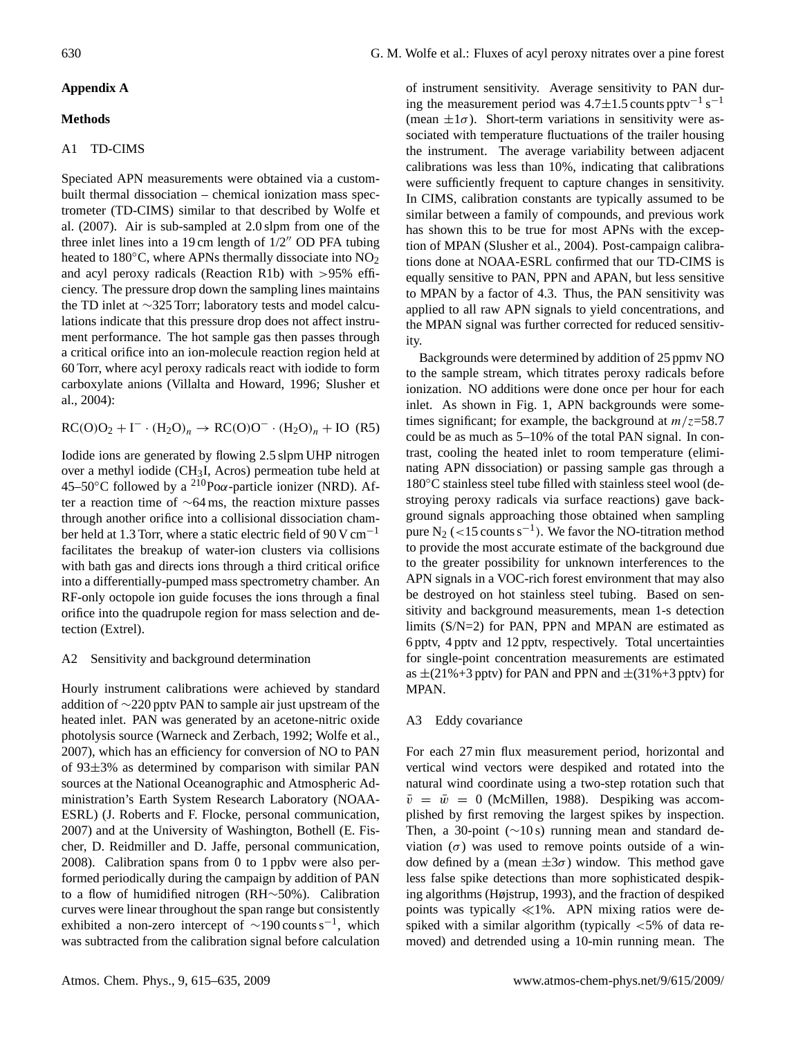# **Appendix A**

## **Methods**

# A1 TD-CIMS

Speciated APN measurements were obtained via a custombuilt thermal dissociation – chemical ionization mass spectrometer (TD-CIMS) similar to that described by Wolfe et al. (2007). Air is sub-sampled at 2.0 slpm from one of the three inlet lines into a 19 cm length of  $1/2''$  OD PFA tubing heated to 180°C, where APNs thermally dissociate into  $NO<sub>2</sub>$ and acyl peroxy radicals (Reaction R1b) with >95% efficiency. The pressure drop down the sampling lines maintains the TD inlet at ∼325 Torr; laboratory tests and model calculations indicate that this pressure drop does not affect instrument performance. The hot sample gas then passes through a critical orifice into an ion-molecule reaction region held at 60 Torr, where acyl peroxy radicals react with iodide to form carboxylate anions (Villalta and Howard, 1996; Slusher et al., 2004):

 $RC(O)O_2 + I^- \cdot (H_2O)_n \to RC(O)O^- \cdot (H_2O)_n + IO (R5)$ 

Iodide ions are generated by flowing 2.5 slpm UHP nitrogen over a methyl iodide (CH3I, Acros) permeation tube held at 45–50 $\rm{^{\circ}C}$  followed by a  $\rm{^{210}Po}\alpha$ -particle ionizer (NRD). After a reaction time of ∼64 ms, the reaction mixture passes through another orifice into a collisional dissociation chamber held at 1.3 Torr, where a static electric field of 90 V cm<sup>-1</sup> facilitates the breakup of water-ion clusters via collisions with bath gas and directs ions through a third critical orifice into a differentially-pumped mass spectrometry chamber. An RF-only octopole ion guide focuses the ions through a final orifice into the quadrupole region for mass selection and detection (Extrel).

# A2 Sensitivity and background determination

Hourly instrument calibrations were achieved by standard addition of ∼220 pptv PAN to sample air just upstream of the heated inlet. PAN was generated by an acetone-nitric oxide photolysis source (Warneck and Zerbach, 1992; Wolfe et al., 2007), which has an efficiency for conversion of NO to PAN of 93±3% as determined by comparison with similar PAN sources at the National Oceanographic and Atmospheric Administration's Earth System Research Laboratory (NOAA-ESRL) (J. Roberts and F. Flocke, personal communication, 2007) and at the University of Washington, Bothell (E. Fischer, D. Reidmiller and D. Jaffe, personal communication, 2008). Calibration spans from 0 to 1 ppbv were also performed periodically during the campaign by addition of PAN to a flow of humidified nitrogen (RH∼50%). Calibration curves were linear throughout the span range but consistently exhibited a non-zero intercept of  $\sim$ 190 counts s<sup>-1</sup>, which was subtracted from the calibration signal before calculation of instrument sensitivity. Average sensitivity to PAN during the measurement period was  $4.7 \pm 1.5$  counts pptv<sup>-1</sup> s<sup>-1</sup> (mean  $\pm 1\sigma$ ). Short-term variations in sensitivity were associated with temperature fluctuations of the trailer housing the instrument. The average variability between adjacent calibrations was less than 10%, indicating that calibrations were sufficiently frequent to capture changes in sensitivity. In CIMS, calibration constants are typically assumed to be similar between a family of compounds, and previous work has shown this to be true for most APNs with the exception of MPAN (Slusher et al., 2004). Post-campaign calibrations done at NOAA-ESRL confirmed that our TD-CIMS is equally sensitive to PAN, PPN and APAN, but less sensitive to MPAN by a factor of 4.3. Thus, the PAN sensitivity was applied to all raw APN signals to yield concentrations, and the MPAN signal was further corrected for reduced sensitivity.

Backgrounds were determined by addition of 25 ppmv NO to the sample stream, which titrates peroxy radicals before ionization. NO additions were done once per hour for each inlet. As shown in Fig. 1, APN backgrounds were sometimes significant; for example, the background at  $m/z = 58.7$ could be as much as 5–10% of the total PAN signal. In contrast, cooling the heated inlet to room temperature (eliminating APN dissociation) or passing sample gas through a 180◦C stainless steel tube filled with stainless steel wool (destroying peroxy radicals via surface reactions) gave background signals approaching those obtained when sampling pure N<sub>2</sub> (<15 counts s<sup>-1</sup>). We favor the NO-titration method to provide the most accurate estimate of the background due to the greater possibility for unknown interferences to the APN signals in a VOC-rich forest environment that may also be destroyed on hot stainless steel tubing. Based on sensitivity and background measurements, mean 1-s detection limits (S/N=2) for PAN, PPN and MPAN are estimated as 6 pptv, 4 pptv and 12 pptv, respectively. Total uncertainties for single-point concentration measurements are estimated as  $\pm$ (21%+3 pptv) for PAN and PPN and  $\pm$ (31%+3 pptv) for MPAN.

## A3 Eddy covariance

For each 27 min flux measurement period, horizontal and vertical wind vectors were despiked and rotated into the natural wind coordinate using a two-step rotation such that  $\bar{v} = \bar{w} = 0$  (McMillen, 1988). Despiking was accomplished by first removing the largest spikes by inspection. Then, a 30-point (∼10 s) running mean and standard deviation  $(\sigma)$  was used to remove points outside of a window defined by a (mean  $\pm 3\sigma$ ) window. This method gave less false spike detections than more sophisticated despiking algorithms (Højstrup, 1993), and the fraction of despiked points was typically  $\ll 1\%$ . APN mixing ratios were despiked with a similar algorithm (typically <5% of data removed) and detrended using a 10-min running mean. The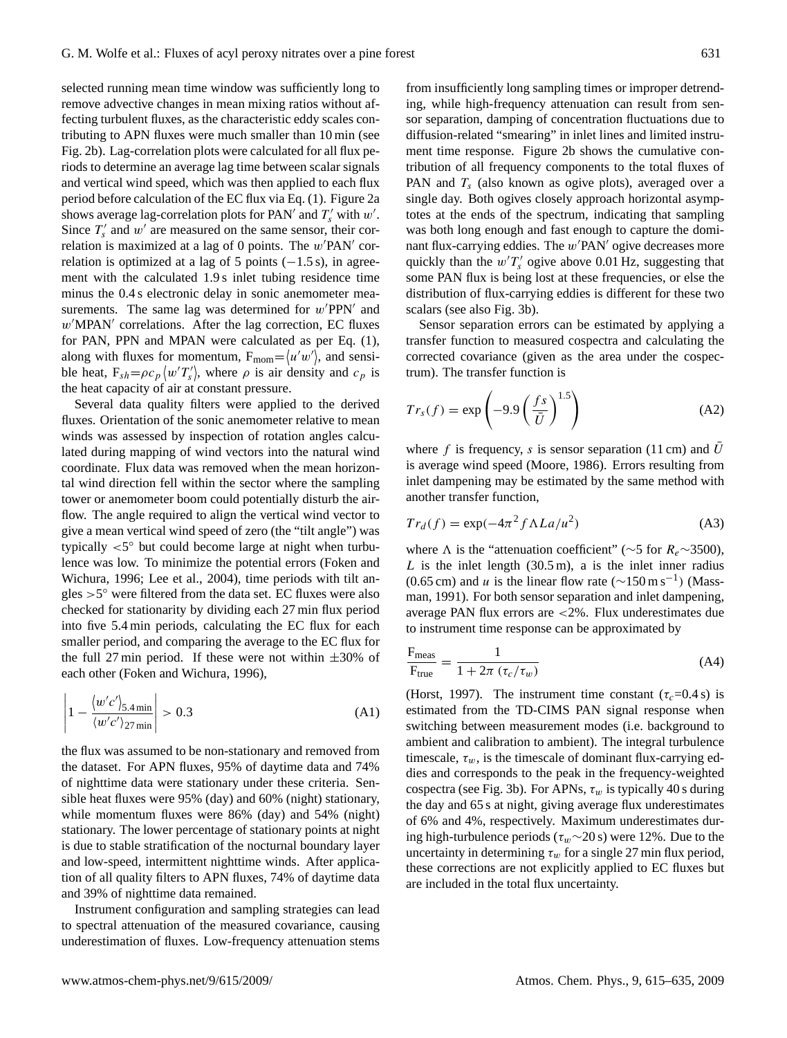selected running mean time window was sufficiently long to remove advective changes in mean mixing ratios without affecting turbulent fluxes, as the characteristic eddy scales contributing to APN fluxes were much smaller than 10 min (see Fig. 2b). Lag-correlation plots were calculated for all flux periods to determine an average lag time between scalar signals and vertical wind speed, which was then applied to each flux period before calculation of the EC flux via Eq. (1). Figure 2a shows average lag-correlation plots for PAN' and  $T_s'$  with  $w'$ . Since  $T_s'$  and  $w'$  are measured on the same sensor, their correlation is maximized at a lag of 0 points. The  $w'PAN'$  correlation is optimized at a lag of 5 points  $(-1.5 s)$ , in agreement with the calculated 1.9 s inlet tubing residence time minus the 0.4 s electronic delay in sonic anemometer measurements. The same lag was determined for  $w'PPN'$  and  $w'MPAN'$  correlations. After the lag correction, EC fluxes for PAN, PPN and MPAN were calculated as per Eq. (1), along with fluxes for momentum,  $F_{\text{mom}} = \langle u'w' \rangle$ , and sensible heat,  $F_{sh} = \rho c_p \langle w' T_s' \rangle$ , where  $\rho$  is air density and  $c_p$  is the heat capacity of air at constant pressure.

Several data quality filters were applied to the derived fluxes. Orientation of the sonic anemometer relative to mean winds was assessed by inspection of rotation angles calculated during mapping of wind vectors into the natural wind coordinate. Flux data was removed when the mean horizontal wind direction fell within the sector where the sampling tower or anemometer boom could potentially disturb the airflow. The angle required to align the vertical wind vector to give a mean vertical wind speed of zero (the "tilt angle") was typically  $\lt 5^\circ$  but could become large at night when turbulence was low. To minimize the potential errors (Foken and Wichura, 1996; Lee et al., 2004), time periods with tilt angles >5 ◦ were filtered from the data set. EC fluxes were also checked for stationarity by dividing each 27 min flux period into five 5.4 min periods, calculating the EC flux for each smaller period, and comparing the average to the EC flux for the full 27 min period. If these were not within  $\pm 30\%$  of each other (Foken and Wichura, 1996),

$$
\left| 1 - \frac{\langle w'c' \rangle_{5.4 \text{ min}}}{\langle w'c' \rangle_{27 \text{ min}}} \right| > 0.3 \tag{A1}
$$

the flux was assumed to be non-stationary and removed from the dataset. For APN fluxes, 95% of daytime data and 74% of nighttime data were stationary under these criteria. Sensible heat fluxes were 95% (day) and 60% (night) stationary, while momentum fluxes were 86% (day) and 54% (night) stationary. The lower percentage of stationary points at night is due to stable stratification of the nocturnal boundary layer and low-speed, intermittent nighttime winds. After application of all quality filters to APN fluxes, 74% of daytime data and 39% of nighttime data remained.

Instrument configuration and sampling strategies can lead to spectral attenuation of the measured covariance, causing underestimation of fluxes. Low-frequency attenuation stems

from insufficiently long sampling times or improper detrending, while high-frequency attenuation can result from sensor separation, damping of concentration fluctuations due to diffusion-related "smearing" in inlet lines and limited instrument time response. Figure 2b shows the cumulative contribution of all frequency components to the total fluxes of PAN and  $T_s$  (also known as ogive plots), averaged over a single day. Both ogives closely approach horizontal asymptotes at the ends of the spectrum, indicating that sampling was both long enough and fast enough to capture the dominant flux-carrying eddies. The  $w'PAN'$  ogive decreases more quickly than the  $w'T'_{s}$  ogive above 0.01 Hz, suggesting that some PAN flux is being lost at these frequencies, or else the distribution of flux-carrying eddies is different for these two scalars (see also Fig. 3b).

Sensor separation errors can be estimated by applying a transfer function to measured cospectra and calculating the corrected covariance (given as the area under the cospectrum). The transfer function is

$$
Tr_s(f) = \exp\left(-9.9\left(\frac{fs}{\bar{U}}\right)^{1.5}\right) \tag{A2}
$$

where f is frequency, s is sensor separation (11 cm) and U is average wind speed (Moore, 1986). Errors resulting from inlet dampening may be estimated by the same method with another transfer function,

$$
Tr_d(f) = \exp(-4\pi^2 f \Lambda L a/u^2)
$$
 (A3)

where  $\Lambda$  is the "attenuation coefficient" (∼5 for  $R_e \sim 3500$ ), L is the inlet length  $(30.5 \text{ m})$ , a is the inlet inner radius (0.65 cm) and *u* is the linear flow rate ( $\sim$ 150 m s<sup>-1</sup>) (Massman, 1991). For both sensor separation and inlet dampening, average PAN flux errors are <2%. Flux underestimates due to instrument time response can be approximated by

$$
\frac{F_{meas}}{F_{true}} = \frac{1}{1 + 2\pi \left(\tau_c/\tau_w\right)}\tag{A4}
$$

(Horst, 1997). The instrument time constant ( $\tau_c$ =0.4 s) is estimated from the TD-CIMS PAN signal response when switching between measurement modes (i.e. background to ambient and calibration to ambient). The integral turbulence timescale,  $\tau_w$ , is the timescale of dominant flux-carrying eddies and corresponds to the peak in the frequency-weighted cospectra (see Fig. 3b). For APNs,  $\tau_w$  is typically 40 s during the day and 65 s at night, giving average flux underestimates of 6% and 4%, respectively. Maximum underestimates during high-turbulence periods ( $\tau_w \sim 20$  s) were 12%. Due to the uncertainty in determining  $\tau_w$  for a single 27 min flux period, these corrections are not explicitly applied to EC fluxes but are included in the total flux uncertainty.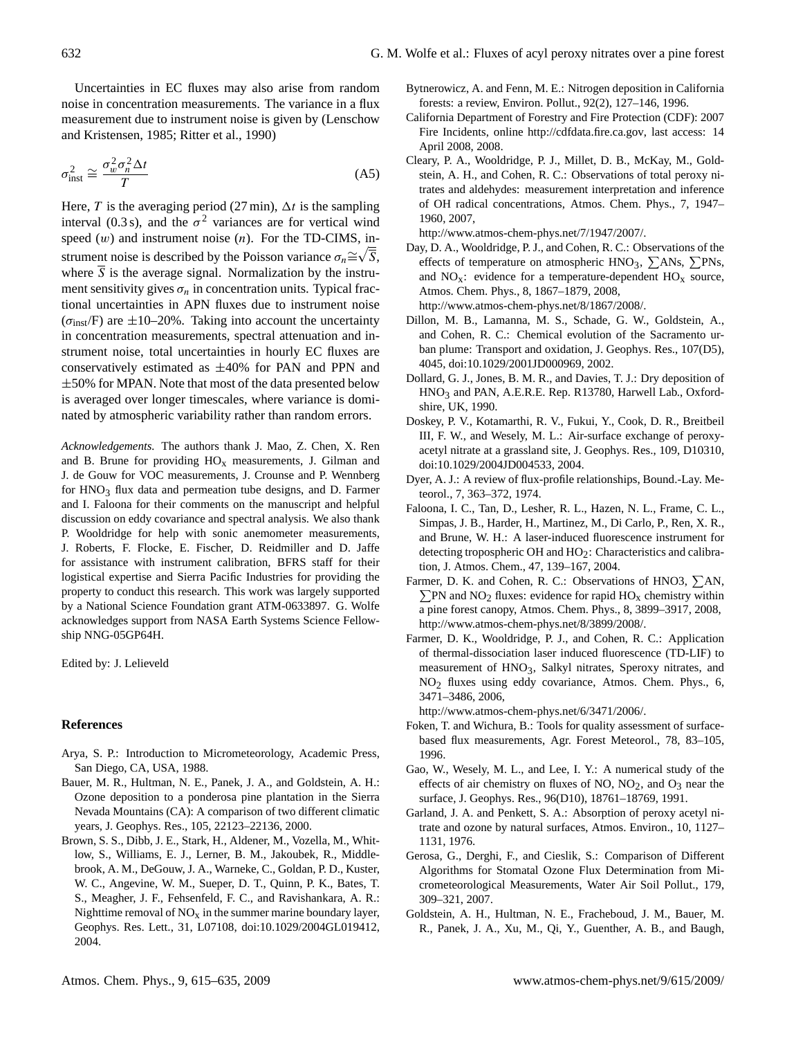Uncertainties in EC fluxes may also arise from random noise in concentration measurements. The variance in a flux measurement due to instrument noise is given by (Lenschow and Kristensen, 1985; Ritter et al., 1990)

$$
\sigma_{\text{inst}}^2 \cong \frac{\sigma_w^2 \sigma_n^2 \Delta t}{T} \tag{A5}
$$

Here, T is the averaging period (27 min),  $\Delta t$  is the sampling interval (0.3 s), and the  $\sigma^2$  variances are for vertical wind speed  $(w)$  and instrument noise  $(n)$ . For the TD-CIMS, instrument noise is described by the Poisson variance  $\sigma_n \cong \sqrt{\overline{S}}$ , where S is the average signal. Normalization by the instrument sensitivity gives  $\sigma_n$  in concentration units. Typical fractional uncertainties in APN fluxes due to instrument noise ( $\sigma_{inst}/F$ ) are  $\pm 10$ –20%. Taking into account the uncertainty in concentration measurements, spectral attenuation and instrument noise, total uncertainties in hourly EC fluxes are conservatively estimated as ±40% for PAN and PPN and  $\pm$ 50% for MPAN. Note that most of the data presented below is averaged over longer timescales, where variance is dominated by atmospheric variability rather than random errors.

*Acknowledgements.* The authors thank J. Mao, Z. Chen, X. Ren and B. Brune for providing  $HO<sub>x</sub>$  measurements, J. Gilman and J. de Gouw for VOC measurements, J. Crounse and P. Wennberg for  $HNO<sub>3</sub>$  flux data and permeation tube designs, and D. Farmer and I. Faloona for their comments on the manuscript and helpful discussion on eddy covariance and spectral analysis. We also thank P. Wooldridge for help with sonic anemometer measurements, J. Roberts, F. Flocke, E. Fischer, D. Reidmiller and D. Jaffe for assistance with instrument calibration, BFRS staff for their logistical expertise and Sierra Pacific Industries for providing the property to conduct this research. This work was largely supported by a National Science Foundation grant ATM-0633897. G. Wolfe acknowledges support from NASA Earth Systems Science Fellowship NNG-05GP64H.

Edited by: J. Lelieveld

# **References**

- Arya, S. P.: Introduction to Micrometeorology, Academic Press, San Diego, CA, USA, 1988.
- Bauer, M. R., Hultman, N. E., Panek, J. A., and Goldstein, A. H.: Ozone deposition to a ponderosa pine plantation in the Sierra Nevada Mountains (CA): A comparison of two different climatic years, J. Geophys. Res., 105, 22123–22136, 2000.
- Brown, S. S., Dibb, J. E., Stark, H., Aldener, M., Vozella, M., Whitlow, S., Williams, E. J., Lerner, B. M., Jakoubek, R., Middlebrook, A. M., DeGouw, J. A., Warneke, C., Goldan, P. D., Kuster, W. C., Angevine, W. M., Sueper, D. T., Quinn, P. K., Bates, T. S., Meagher, J. F., Fehsenfeld, F. C., and Ravishankara, A. R.: Nighttime removal of  $NO<sub>x</sub>$  in the summer marine boundary layer, Geophys. Res. Lett., 31, L07108, doi:10.1029/2004GL019412, 2004.
- Bytnerowicz, A. and Fenn, M. E.: Nitrogen deposition in California forests: a review, Environ. Pollut., 92(2), 127–146, 1996.
- California Department of Forestry and Fire Protection (CDF): 2007 Fire Incidents, online [http://cdfdata.fire.ca.gov,](http://cdfdata.fire.ca.gov) last access: 14 April 2008, 2008.
- Cleary, P. A., Wooldridge, P. J., Millet, D. B., McKay, M., Goldstein, A. H., and Cohen, R. C.: Observations of total peroxy nitrates and aldehydes: measurement interpretation and inference of OH radical concentrations, Atmos. Chem. Phys., 7, 1947– 1960, 2007,

[http://www.atmos-chem-phys.net/7/1947/2007/.](http://www.atmos-chem-phys.net/7/1947/2007/)

Day, D. A., Wooldridge, P. J., and Cohen, R. C.: Observations of the effects of temperature on atmospheric  $HNO<sub>3</sub>$ ,  $\Sigma ANs$ ,  $\Sigma PNs$ , and  $NO_x$ : evidence for a temperature-dependent  $HO_x$  source, Atmos. Chem. Phys., 8, 1867–1879, 2008,

[http://www.atmos-chem-phys.net/8/1867/2008/.](http://www.atmos-chem-phys.net/8/1867/2008/)

- Dillon, M. B., Lamanna, M. S., Schade, G. W., Goldstein, A., and Cohen, R. C.: Chemical evolution of the Sacramento urban plume: Transport and oxidation, J. Geophys. Res., 107(D5), 4045, doi:10.1029/2001JD000969, 2002.
- Dollard, G. J., Jones, B. M. R., and Davies, T. J.: Dry deposition of HNO<sub>3</sub> and PAN, A.E.R.E. Rep. R13780, Harwell Lab., Oxfordshire, UK, 1990.
- Doskey, P. V., Kotamarthi, R. V., Fukui, Y., Cook, D. R., Breitbeil III, F. W., and Wesely, M. L.: Air-surface exchange of peroxyacetyl nitrate at a grassland site, J. Geophys. Res., 109, D10310, doi:10.1029/2004JD004533, 2004.
- Dyer, A. J.: A review of flux-profile relationships, Bound.-Lay. Meteorol., 7, 363–372, 1974.
- Faloona, I. C., Tan, D., Lesher, R. L., Hazen, N. L., Frame, C. L., Simpas, J. B., Harder, H., Martinez, M., Di Carlo, P., Ren, X. R., and Brune, W. H.: A laser-induced fluorescence instrument for detecting tropospheric OH and  $HO<sub>2</sub>$ : Characteristics and calibration, J. Atmos. Chem., 47, 139–167, 2004.
- Farmer, D. K. and Cohen, R. C.: Observations of HNO3,  $\Sigma AN$ ,  $\sum$ PN and NO<sub>2</sub> fluxes: evidence for rapid HO<sub>x</sub> chemistry within a pine forest canopy, Atmos. Chem. Phys., 8, 3899–3917, 2008, [http://www.atmos-chem-phys.net/8/3899/2008/.](http://www.atmos-chem-phys.net/8/3899/2008/)
- Farmer, D. K., Wooldridge, P. J., and Cohen, R. C.: Application of thermal-dissociation laser induced fluorescence (TD-LIF) to measurement of HNO<sub>3</sub>, Salkyl nitrates, Speroxy nitrates, and NO2 fluxes using eddy covariance, Atmos. Chem. Phys., 6, 3471–3486, 2006,

[http://www.atmos-chem-phys.net/6/3471/2006/.](http://www.atmos-chem-phys.net/6/3471/2006/)

- Foken, T. and Wichura, B.: Tools for quality assessment of surfacebased flux measurements, Agr. Forest Meteorol., 78, 83–105, 1996.
- Gao, W., Wesely, M. L., and Lee, I. Y.: A numerical study of the effects of air chemistry on fluxes of NO,  $NO<sub>2</sub>$ , and  $O<sub>3</sub>$  near the surface, J. Geophys. Res., 96(D10), 18761–18769, 1991.
- Garland, J. A. and Penkett, S. A.: Absorption of peroxy acetyl nitrate and ozone by natural surfaces, Atmos. Environ., 10, 1127– 1131, 1976.
- Gerosa, G., Derghi, F., and Cieslik, S.: Comparison of Different Algorithms for Stomatal Ozone Flux Determination from Micrometeorological Measurements, Water Air Soil Pollut., 179, 309–321, 2007.
- Goldstein, A. H., Hultman, N. E., Fracheboud, J. M., Bauer, M. R., Panek, J. A., Xu, M., Qi, Y., Guenther, A. B., and Baugh,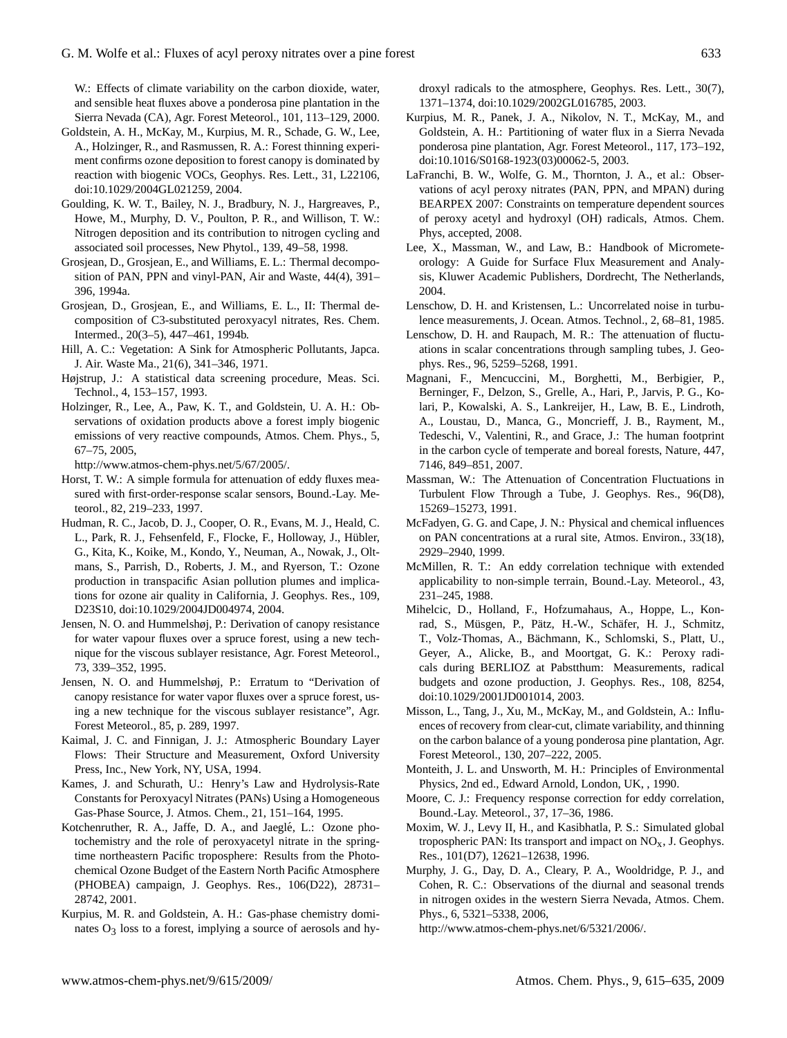W.: Effects of climate variability on the carbon dioxide, water, and sensible heat fluxes above a ponderosa pine plantation in the Sierra Nevada (CA), Agr. Forest Meteorol., 101, 113–129, 2000.

- Goldstein, A. H., McKay, M., Kurpius, M. R., Schade, G. W., Lee, A., Holzinger, R., and Rasmussen, R. A.: Forest thinning experiment confirms ozone deposition to forest canopy is dominated by reaction with biogenic VOCs, Geophys. Res. Lett., 31, L22106, doi:10.1029/2004GL021259, 2004.
- Goulding, K. W. T., Bailey, N. J., Bradbury, N. J., Hargreaves, P., Howe, M., Murphy, D. V., Poulton, P. R., and Willison, T. W.: Nitrogen deposition and its contribution to nitrogen cycling and associated soil processes, New Phytol., 139, 49–58, 1998.
- Grosjean, D., Grosjean, E., and Williams, E. L.: Thermal decomposition of PAN, PPN and vinyl-PAN, Air and Waste, 44(4), 391– 396, 1994a.
- Grosjean, D., Grosjean, E., and Williams, E. L., II: Thermal decomposition of C3-substituted peroxyacyl nitrates, Res. Chem. Intermed., 20(3–5), 447–461, 1994b.
- Hill, A. C.: Vegetation: A Sink for Atmospheric Pollutants, Japca. J. Air. Waste Ma., 21(6), 341–346, 1971.
- Højstrup, J.: A statistical data screening procedure, Meas. Sci. Technol., 4, 153–157, 1993.
- Holzinger, R., Lee, A., Paw, K. T., and Goldstein, U. A. H.: Observations of oxidation products above a forest imply biogenic emissions of very reactive compounds, Atmos. Chem. Phys., 5, 67–75, 2005,

[http://www.atmos-chem-phys.net/5/67/2005/.](http://www.atmos-chem-phys.net/5/67/2005/)

- Horst, T. W.: A simple formula for attenuation of eddy fluxes measured with first-order-response scalar sensors, Bound.-Lay. Meteorol., 82, 219–233, 1997.
- Hudman, R. C., Jacob, D. J., Cooper, O. R., Evans, M. J., Heald, C. L., Park, R. J., Fehsenfeld, F., Flocke, F., Holloway, J., Hübler, G., Kita, K., Koike, M., Kondo, Y., Neuman, A., Nowak, J., Oltmans, S., Parrish, D., Roberts, J. M., and Ryerson, T.: Ozone production in transpacific Asian pollution plumes and implications for ozone air quality in California, J. Geophys. Res., 109, D23S10, doi:10.1029/2004JD004974, 2004.
- Jensen, N. O. and Hummelshøj, P.: Derivation of canopy resistance for water vapour fluxes over a spruce forest, using a new technique for the viscous sublayer resistance, Agr. Forest Meteorol., 73, 339–352, 1995.
- Jensen, N. O. and Hummelshøj, P.: Erratum to "Derivation of canopy resistance for water vapor fluxes over a spruce forest, using a new technique for the viscous sublayer resistance", Agr. Forest Meteorol., 85, p. 289, 1997.
- Kaimal, J. C. and Finnigan, J. J.: Atmospheric Boundary Layer Flows: Their Structure and Measurement, Oxford University Press, Inc., New York, NY, USA, 1994.
- Kames, J. and Schurath, U.: Henry's Law and Hydrolysis-Rate Constants for Peroxyacyl Nitrates (PANs) Using a Homogeneous Gas-Phase Source, J. Atmos. Chem., 21, 151–164, 1995.
- Kotchenruther, R. A., Jaffe, D. A., and Jaeglé, L.: Ozone photochemistry and the role of peroxyacetyl nitrate in the springtime northeastern Pacific troposphere: Results from the Photochemical Ozone Budget of the Eastern North Pacific Atmosphere (PHOBEA) campaign, J. Geophys. Res., 106(D22), 28731– 28742, 2001.
- Kurpius, M. R. and Goldstein, A. H.: Gas-phase chemistry dominates  $O_3$  loss to a forest, implying a source of aerosols and hy-

droxyl radicals to the atmosphere, Geophys. Res. Lett., 30(7), 1371–1374, doi:10.1029/2002GL016785, 2003.

- Kurpius, M. R., Panek, J. A., Nikolov, N. T., McKay, M., and Goldstein, A. H.: Partitioning of water flux in a Sierra Nevada ponderosa pine plantation, Agr. Forest Meteorol., 117, 173–192, doi:10.1016/S0168-1923(03)00062-5, 2003.
- LaFranchi, B. W., Wolfe, G. M., Thornton, J. A., et al.: Observations of acyl peroxy nitrates (PAN, PPN, and MPAN) during BEARPEX 2007: Constraints on temperature dependent sources of peroxy acetyl and hydroxyl (OH) radicals, Atmos. Chem. Phys, accepted, 2008.
- Lee, X., Massman, W., and Law, B.: Handbook of Micrometeorology: A Guide for Surface Flux Measurement and Analysis, Kluwer Academic Publishers, Dordrecht, The Netherlands, 2004.
- Lenschow, D. H. and Kristensen, L.: Uncorrelated noise in turbulence measurements, J. Ocean. Atmos. Technol., 2, 68–81, 1985.
- Lenschow, D. H. and Raupach, M. R.: The attenuation of fluctuations in scalar concentrations through sampling tubes, J. Geophys. Res., 96, 5259–5268, 1991.
- Magnani, F., Mencuccini, M., Borghetti, M., Berbigier, P., Berninger, F., Delzon, S., Grelle, A., Hari, P., Jarvis, P. G., Kolari, P., Kowalski, A. S., Lankreijer, H., Law, B. E., Lindroth, A., Loustau, D., Manca, G., Moncrieff, J. B., Rayment, M., Tedeschi, V., Valentini, R., and Grace, J.: The human footprint in the carbon cycle of temperate and boreal forests, Nature, 447, 7146, 849–851, 2007.
- Massman, W.: The Attenuation of Concentration Fluctuations in Turbulent Flow Through a Tube, J. Geophys. Res., 96(D8), 15269–15273, 1991.
- McFadyen, G. G. and Cape, J. N.: Physical and chemical influences on PAN concentrations at a rural site, Atmos. Environ., 33(18), 2929–2940, 1999.
- McMillen, R. T.: An eddy correlation technique with extended applicability to non-simple terrain, Bound.-Lay. Meteorol., 43, 231–245, 1988.
- Mihelcic, D., Holland, F., Hofzumahaus, A., Hoppe, L., Konrad, S., Müsgen, P., Pätz, H.-W., Schäfer, H. J., Schmitz, T., Volz-Thomas, A., Bächmann, K., Schlomski, S., Platt, U., Geyer, A., Alicke, B., and Moortgat, G. K.: Peroxy radicals during BERLIOZ at Pabstthum: Measurements, radical budgets and ozone production, J. Geophys. Res., 108, 8254, doi:10.1029/2001JD001014, 2003.
- Misson, L., Tang, J., Xu, M., McKay, M., and Goldstein, A.: Influences of recovery from clear-cut, climate variability, and thinning on the carbon balance of a young ponderosa pine plantation, Agr. Forest Meteorol., 130, 207–222, 2005.
- Monteith, J. L. and Unsworth, M. H.: Principles of Environmental Physics, 2nd ed., Edward Arnold, London, UK, , 1990.
- Moore, C. J.: Frequency response correction for eddy correlation, Bound.-Lay. Meteorol., 37, 17–36, 1986.
- Moxim, W. J., Levy II, H., and Kasibhatla, P. S.: Simulated global tropospheric PAN: Its transport and impact on  $NO<sub>x</sub>$ , J. Geophys. Res., 101(D7), 12621–12638, 1996.
- Murphy, J. G., Day, D. A., Cleary, P. A., Wooldridge, P. J., and Cohen, R. C.: Observations of the diurnal and seasonal trends in nitrogen oxides in the western Sierra Nevada, Atmos. Chem. Phys., 6, 5321–5338, 2006,
	- [http://www.atmos-chem-phys.net/6/5321/2006/.](http://www.atmos-chem-phys.net/6/5321/2006/)